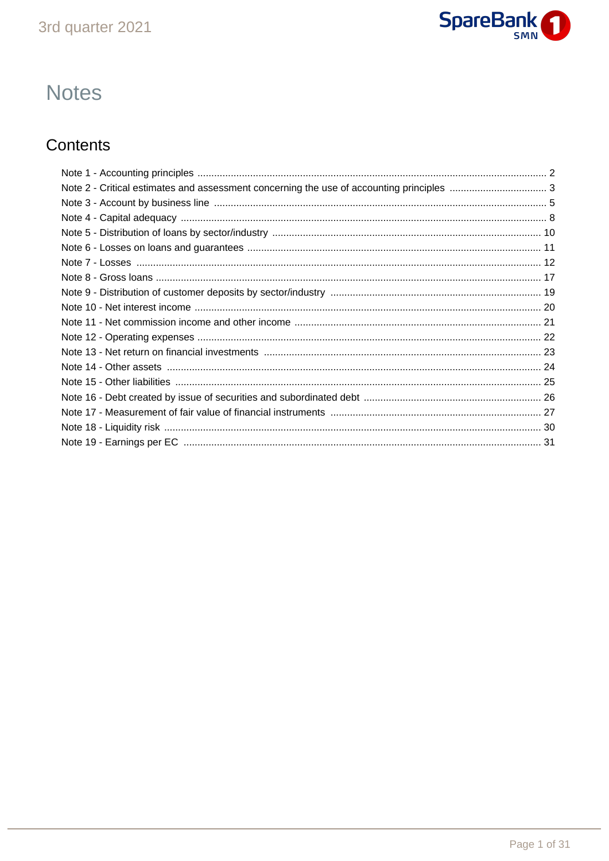

# **Notes**

# Contents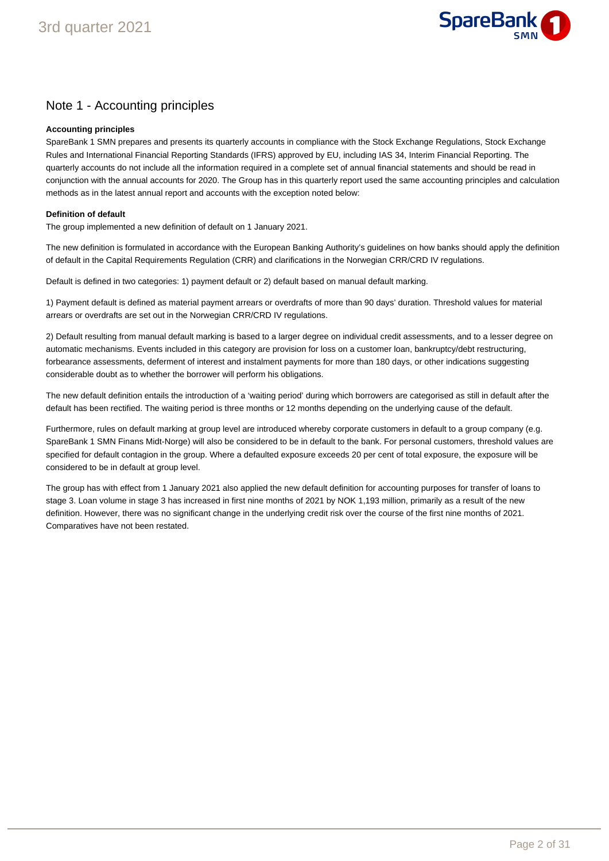

### Note 1 - Accounting principles

### **Accounting principles**

SpareBank 1 SMN prepares and presents its quarterly accounts in compliance with the Stock Exchange Regulations, Stock Exchange Rules and International Financial Reporting Standards (IFRS) approved by EU, including IAS 34, Interim Financial Reporting. The quarterly accounts do not include all the information required in a complete set of annual financial statements and should be read in conjunction with the annual accounts for 2020. The Group has in this quarterly report used the same accounting principles and calculation methods as in the latest annual report and accounts with the exception noted below:

### **Definition of default**

The group implemented a new definition of default on 1 January 2021.

The new definition is formulated in accordance with the European Banking Authority's guidelines on how banks should apply the definition of default in the Capital Requirements Regulation (CRR) and clarifications in the Norwegian CRR/CRD IV regulations.

Default is defined in two categories: 1) payment default or 2) default based on manual default marking.

1) Payment default is defined as material payment arrears or overdrafts of more than 90 days' duration. Threshold values for material arrears or overdrafts are set out in the Norwegian CRR/CRD IV regulations.

2) Default resulting from manual default marking is based to a larger degree on individual credit assessments, and to a lesser degree on automatic mechanisms. Events included in this category are provision for loss on a customer loan, bankruptcy/debt restructuring, forbearance assessments, deferment of interest and instalment payments for more than 180 days, or other indications suggesting considerable doubt as to whether the borrower will perform his obligations.

The new default definition entails the introduction of a 'waiting period' during which borrowers are categorised as still in default after the default has been rectified. The waiting period is three months or 12 months depending on the underlying cause of the default.

Furthermore, rules on default marking at group level are introduced whereby corporate customers in default to a group company (e.g. SpareBank 1 SMN Finans Midt-Norge) will also be considered to be in default to the bank. For personal customers, threshold values are specified for default contagion in the group. Where a defaulted exposure exceeds 20 per cent of total exposure, the exposure will be considered to be in default at group level.

The group has with effect from 1 January 2021 also applied the new default definition for accounting purposes for transfer of loans to stage 3. Loan volume in stage 3 has increased in first nine months of 2021 by NOK 1,193 million, primarily as a result of the new definition. However, there was no significant change in the underlying credit risk over the course of the first nine months of 2021. Comparatives have not been restated.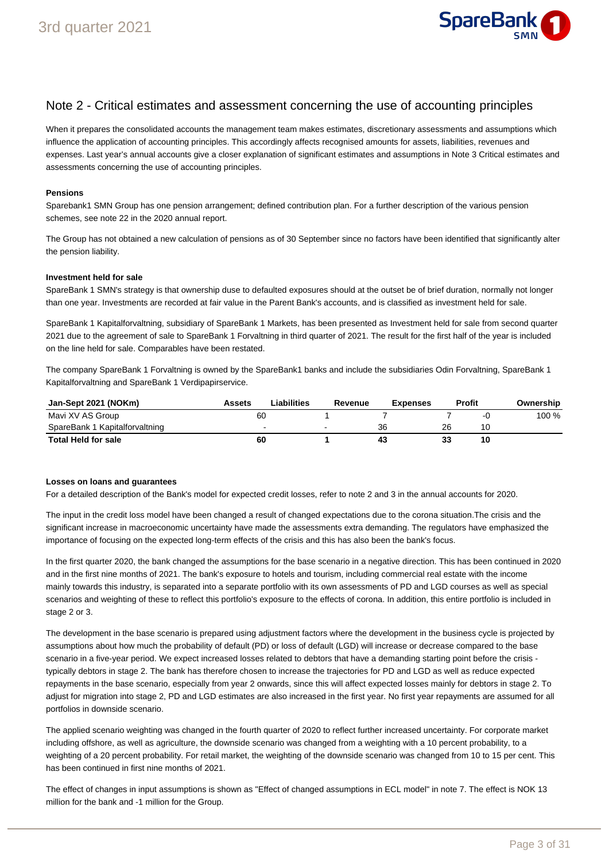

### Note 2 - Critical estimates and assessment concerning the use of accounting principles

When it prepares the consolidated accounts the management team makes estimates, discretionary assessments and assumptions which influence the application of accounting principles. This accordingly affects recognised amounts for assets, liabilities, revenues and expenses. Last year's annual accounts give a closer explanation of significant estimates and assumptions in Note 3 Critical estimates and assessments concerning the use of accounting principles.

#### **Pensions**

Sparebank1 SMN Group has one pension arrangement; defined contribution plan. For a further description of the various pension schemes, see note 22 in the 2020 annual report.

The Group has not obtained a new calculation of pensions as of 30 September since no factors have been identified that significantly alter the pension liability.

#### **Investment held for sale**

SpareBank 1 SMN's strategy is that ownership duse to defaulted exposures should at the outset be of brief duration, normally not longer than one year. Investments are recorded at fair value in the Parent Bank's accounts, and is classified as investment held for sale.

SpareBank 1 Kapitalforvaltning, subsidiary of SpareBank 1 Markets, has been presented as Investment held for sale from second quarter 2021 due to the agreement of sale to SpareBank 1 Forvaltning in third quarter of 2021. The result for the first half of the year is included on the line held for sale. Comparables have been restated.

The company SpareBank 1 Forvaltning is owned by the SpareBank1 banks and include the subsidiaries Odin Forvaltning, SpareBank 1 Kapitalforvaltning and SpareBank 1 Verdipapirservice.

| Jan-Sept 2021 (NOKm)           | Assets | Liabilities. | Revenue | <b>Expenses</b> |    | <b>Profit</b> | Ownership |
|--------------------------------|--------|--------------|---------|-----------------|----|---------------|-----------|
| Mavi XV AS Group               | 60     |              |         |                 |    | -1.           | 100 %     |
| SpareBank 1 Kapitalforvaltning |        |              |         | 36              | 26 |               |           |
| Total Held for sale            | 60     |              |         | 43              | 33 | 10            |           |

#### **Losses on loans and guarantees**

For a detailed description of the Bank's model for expected credit losses, refer to note 2 and 3 in the annual accounts for 2020.

The input in the credit loss model have been changed a result of changed expectations due to the corona situation.The crisis and the significant increase in macroeconomic uncertainty have made the assessments extra demanding. The regulators have emphasized the importance of focusing on the expected long-term effects of the crisis and this has also been the bank's focus.

In the first quarter 2020, the bank changed the assumptions for the base scenario in a negative direction. This has been continued in 2020 and in the first nine months of 2021. The bank's exposure to hotels and tourism, including commercial real estate with the income mainly towards this industry, is separated into a separate portfolio with its own assessments of PD and LGD courses as well as special scenarios and weighting of these to reflect this portfolio's exposure to the effects of corona. In addition, this entire portfolio is included in stage 2 or 3.

The development in the base scenario is prepared using adjustment factors where the development in the business cycle is projected by assumptions about how much the probability of default (PD) or loss of default (LGD) will increase or decrease compared to the base scenario in a five-year period. We expect increased losses related to debtors that have a demanding starting point before the crisis typically debtors in stage 2. The bank has therefore chosen to increase the trajectories for PD and LGD as well as reduce expected repayments in the base scenario, especially from year 2 onwards, since this will affect expected losses mainly for debtors in stage 2. To adjust for migration into stage 2, PD and LGD estimates are also increased in the first year. No first year repayments are assumed for all portfolios in downside scenario.

The applied scenario weighting was changed in the fourth quarter of 2020 to reflect further increased uncertainty. For corporate market including offshore, as well as agriculture, the downside scenario was changed from a weighting with a 10 percent probability, to a weighting of a 20 percent probability. For retail market, the weighting of the downside scenario was changed from 10 to 15 per cent. This has been continued in first nine months of 2021.

The effect of changes in input assumptions is shown as "Effect of changed assumptions in ECL model" in note 7. The effect is NOK 13 million for the bank and -1 million for the Group.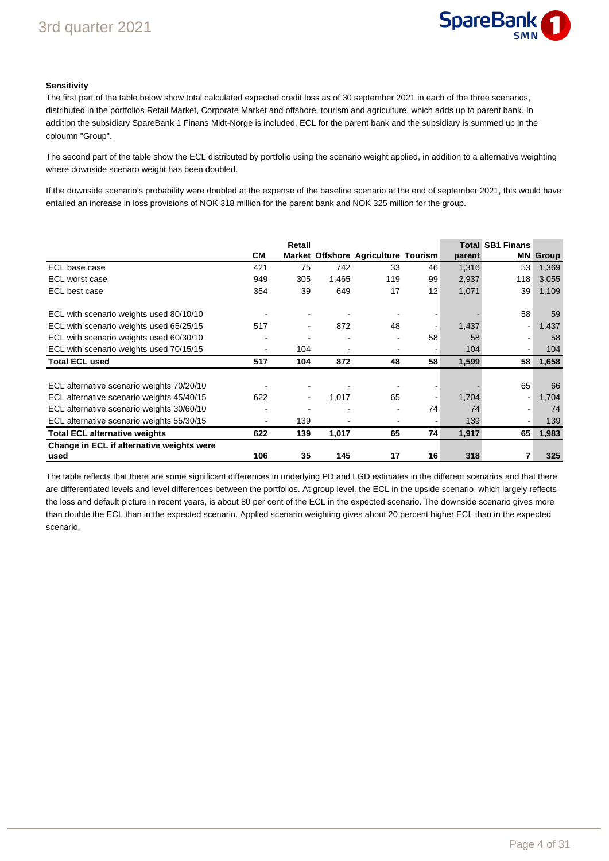

### **Sensitivity**

The first part of the table below show total calculated expected credit loss as of 30 september 2021 in each of the three scenarios, distributed in the portfolios Retail Market, Corporate Market and offshore, tourism and agriculture, which adds up to parent bank. In addition the subsidiary SpareBank 1 Finans Midt-Norge is included. ECL for the parent bank and the subsidiary is summed up in the coloumn "Group".

The second part of the table show the ECL distributed by portfolio using the scenario weight applied, in addition to a alternative weighting where downside scenaro weight has been doubled.

If the downside scenario's probability were doubled at the expense of the baseline scenario at the end of september 2021, this would have entailed an increase in loss provisions of NOK 318 million for the parent bank and NOK 325 million for the group.

|                                                   |           | Retail         |       |                                     |                |        | <b>Total SB1 Finans</b> |       |
|---------------------------------------------------|-----------|----------------|-------|-------------------------------------|----------------|--------|-------------------------|-------|
|                                                   | <b>CM</b> |                |       | Market Offshore Agriculture Tourism |                | parent | <b>MN</b>               | Group |
| ECL base case                                     | 421       | 75             | 742   | 33                                  | 46             | 1,316  | 53                      | 1,369 |
| ECL worst case                                    | 949       | 305            | 1,465 | 119                                 | 99             | 2,937  | 118                     | 3,055 |
| ECL best case                                     | 354       | 39             | 649   | 17                                  | 12             | 1,071  | 39                      | 1,109 |
| ECL with scenario weights used 80/10/10           |           |                |       |                                     | $\blacksquare$ |        | 58                      | 59    |
| ECL with scenario weights used 65/25/15           | 517       | $\blacksquare$ | 872   | 48                                  |                | 1,437  |                         | 1,437 |
| ECL with scenario weights used 60/30/10           |           |                |       |                                     | 58             | 58     |                         | 58    |
| ECL with scenario weights used 70/15/15           |           | 104            |       |                                     | ٠              | 104    |                         | 104   |
| <b>Total ECL used</b>                             | 517       | 104            | 872   | 48                                  | 58             | 1,599  | 58                      | 1,658 |
|                                                   |           |                |       |                                     |                |        |                         |       |
| ECL alternative scenario weights 70/20/10         |           |                |       |                                     |                |        | 65                      | 66    |
| ECL alternative scenario weights 45/40/15         | 622       |                | 1,017 | 65                                  | $\blacksquare$ | 1,704  |                         | 1,704 |
| ECL alternative scenario weights 30/60/10         |           |                |       |                                     | 74             | 74     |                         | 74    |
| ECL alternative scenario weights 55/30/15         |           | 139            |       |                                     | ٠              | 139    |                         | 139   |
| <b>Total ECL alternative weights</b>              | 622       | 139            | 1,017 | 65                                  | 74             | 1,917  | 65                      | 1,983 |
| Change in ECL if alternative weights were<br>used | 106       | 35             | 145   | 17                                  | 16             | 318    |                         | 325   |

The table reflects that there are some significant differences in underlying PD and LGD estimates in the different scenarios and that there are differentiated levels and level differences between the portfolios. At group level, the ECL in the upside scenario, which largely reflects the loss and default picture in recent years, is about 80 per cent of the ECL in the expected scenario. The downside scenario gives more than double the ECL than in the expected scenario. Applied scenario weighting gives about 20 percent higher ECL than in the expected scenario.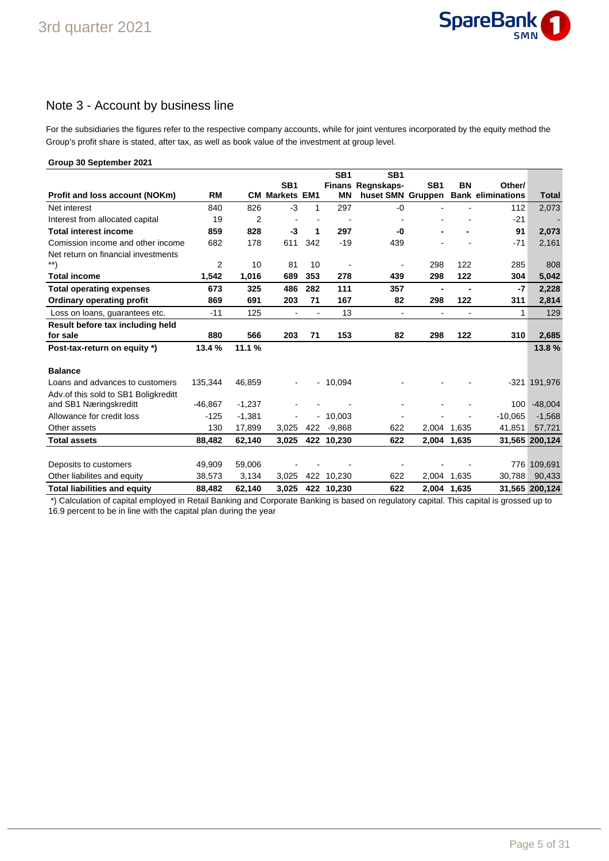

## Note 3 - Account by business line

For the subsidiaries the figures refer to the respective company accounts, while for joint ventures incorporated by the equity method the Group's profit share is stated, after tax, as well as book value of the investment at group level.

#### **Group 30 September 2021 Profit and loss account (NOKm) RM SB1 CM Markets EM1 SB1 Finans Regnskaps-MN SB1 huset SMN Gruppen SB1 BN Bank eliminations Total Other/** Net interest 840 826 -3 1 297 -0 - - 112 2,073 Interest from allocated capital 19 2 - - - - - - -21 - **Total interest income 859 828 -3 1 297 -0 - - 91 2,073** Comission income and other income  $682$  178 611 342 -19 439 - - - - - -71 2,161 Net return on financial investments \*\*) 2 10 81 10 - - 298 122 285 808 **Total income 1,542 1,016 689 353 278 439 298 122 304 5,042 Total operating expenses 673 325 486 282 111 357 - - -7 2,228 Ordinary operating profit 869 691 203 71 167 82 298 122 311 2,814** Loss on loans, guarantees etc.  $-11$  125 - 13 - - - - 13 **Result before tax including held for sale 880 566 203 71 153 82 298 122 310 2,685 Post-tax-return on equity \*) 13.4 % 11.1 % 13.8 % Balance** Loans and advances to customers 135,344 46,859 - - 10,094 - - - -321 191,976 Adv.of this sold to SB1 Boligkreditt and SB1 Næringskreditt  $-46,867 -1,237$  - - - - - - - - - - - 100 -48,004 Allowance for credit loss  $-125 -1,381$  -  $-10,003$  -  $-10,065 -1,568$ Other assets 130 17,899 3,025 422 -9,868 622 2,004 1,635 41,851 57,721 **Total assets 88,482 62,140 3,025 422 10,230 622 2,004 1,635 31,565 200,124** Deposits to customers **49,909 59,006** - - - - - - - - - - - - 776 109,691 Other liabilites and equity 38,573 3,134 3,025 422 10,230 622 2,004 1,635 30,788 90,433 **Total liabilities and equity 88,482 62,140 3,025 422 10,230 622 2,004 1,635 31,565 200,124**

 \*) Calculation of capital employed in Retail Banking and Corporate Banking is based on regulatory capital. This capital is grossed up to 16.9 percent to be in line with the capital plan during the year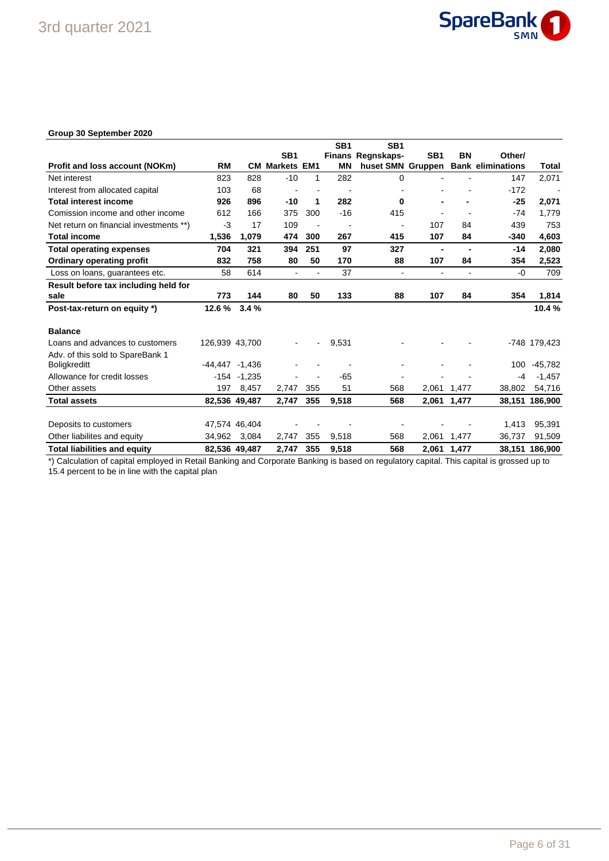

### **Group 30 September 2020**

|                                         |                   |                |                    |     | SB <sub>1</sub> | SB <sub>1</sub>   |                 |                |                          |                |
|-----------------------------------------|-------------------|----------------|--------------------|-----|-----------------|-------------------|-----------------|----------------|--------------------------|----------------|
|                                         |                   |                | SB <sub>1</sub>    |     |                 | Finans Regnskaps- | SB <sub>1</sub> | BN             | Other/                   |                |
| Profit and loss account (NOKm)          | <b>RM</b>         | CМ             | <b>Markets EM1</b> |     | <b>MN</b>       | huset SMN Gruppen |                 |                | <b>Bank eliminations</b> | Total          |
| Net interest                            | 823               | 828            | $-10$              | 1   | 282             | $\mathbf 0$       |                 |                | 147                      | 2,071          |
| Interest from allocated capital         | 103               | 68             |                    |     |                 |                   |                 |                | $-172$                   |                |
| <b>Total interest income</b>            | 926               | 896            | $-10$              | 1   | 282             | 0                 |                 |                | $-25$                    | 2,071          |
| Comission income and other income       | 612               | 166            | 375                | 300 | $-16$           | 415               |                 |                | $-74$                    | 1,779          |
| Net return on financial investments **) | $-3$              | 17             | 109                |     |                 |                   | 107             | 84             | 439                      | 753            |
| <b>Total income</b>                     | 1,536             | 1,079          | 474                | 300 | 267             | 415               | 107             | 84             | -340                     | 4,603          |
| <b>Total operating expenses</b>         | 704               | 321            | 394                | 251 | 97              | 327               | $\blacksquare$  | $\blacksquare$ | $-14$                    | 2,080          |
| <b>Ordinary operating profit</b>        | 832               | 758            | 80                 | 50  | 170             | 88                | 107             | 84             | 354                      | 2,523          |
| Loss on loans, guarantees etc.          | 58                | 614            | $\blacksquare$     |     | 37              | $\blacksquare$    | ٠               | $\blacksquare$ | $-0$                     | 709            |
| Result before tax including held for    |                   |                |                    |     |                 |                   |                 |                |                          |                |
| sale                                    | 773               | 144            | 80                 | 50  | 133             | 88                | 107             | 84             | 354                      | 1,814          |
| Post-tax-return on equity *)            | 12.6%             | 3.4%           |                    |     |                 |                   |                 |                |                          | 10.4%          |
| <b>Balance</b>                          |                   |                |                    |     |                 |                   |                 |                |                          |                |
| Loans and advances to customers         | 126,939 43,700    |                |                    |     | 9,531           |                   |                 |                |                          | -748 179,423   |
| Adv. of this sold to SpareBank 1        |                   |                |                    |     |                 |                   |                 |                |                          |                |
| <b>Boligkreditt</b>                     | $-44.447 - 1.436$ |                |                    |     |                 |                   |                 |                | 100                      | $-45,782$      |
| Allowance for credit losses             |                   | $-154 - 1,235$ |                    |     | $-65$           |                   |                 |                | -4                       | $-1,457$       |
| Other assets                            | 197               | 8,457          | 2,747              | 355 | 51              | 568               | 2,061           | 1,477          | 38,802                   | 54,716         |
| <b>Total assets</b>                     |                   | 82,536 49,487  | 2,747              | 355 | 9,518           | 568               | 2,061           | 1,477          |                          | 38,151 186,900 |
|                                         |                   |                |                    |     |                 |                   |                 |                |                          |                |
| Deposits to customers                   |                   | 47,574 46,404  |                    |     |                 |                   |                 |                | 1,413                    | 95,391         |
| Other liabilites and equity             | 34,962            | 3,084          | 2,747              | 355 | 9,518           | 568               | 2,061           | 1,477          | 36,737                   | 91,509         |
| <b>Total liabilities and equity</b>     |                   | 82,536 49,487  | 2,747              | 355 | 9,518           | 568               | 2,061           | 1,477          |                          | 38,151 186,900 |

\*) Calculation of capital employed in Retail Banking and Corporate Banking is based on regulatory capital. This capital is grossed up to 15.4 percent to be in line with the capital plan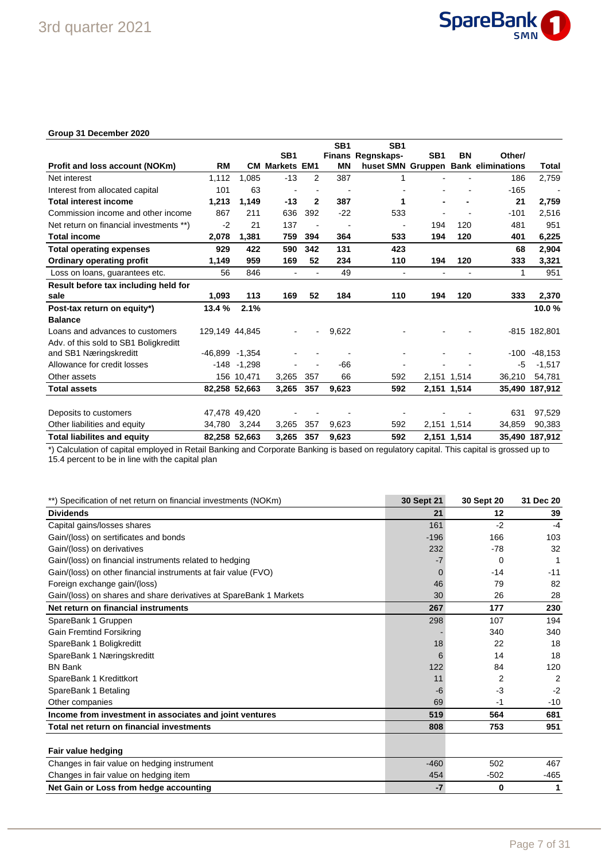

### **Group 31 December 2020**

|                                         |                    |                |                       |                | SB <sub>1</sub> | SB <sub>1</sub>          |                 |             |                                     |                |
|-----------------------------------------|--------------------|----------------|-----------------------|----------------|-----------------|--------------------------|-----------------|-------------|-------------------------------------|----------------|
|                                         |                    |                | SB <sub>1</sub>       |                |                 | Finans Regnskaps-        | SB <sub>1</sub> | <b>BN</b>   | Other/                              |                |
| Profit and loss account (NOKm)          | <b>RM</b>          |                | <b>CM Markets EM1</b> |                | <b>MN</b>       |                          |                 |             | huset SMN Gruppen Bank eliminations | Total          |
| Net interest                            | 1,112              | 1.085          | $-13$                 | 2              | 387             | 1                        |                 |             | 186                                 | 2,759          |
| Interest from allocated capital         | 101                | 63             |                       |                |                 |                          |                 |             | $-165$                              |                |
| <b>Total interest income</b>            | 1,213              | 1,149          | $-13$                 | $\mathbf{2}$   | 387             | 1                        |                 |             | 21                                  | 2,759          |
| Commission income and other income      | 867                | 211            | 636                   | 392            | $-22$           | 533                      |                 |             | $-101$                              | 2,516          |
| Net return on financial investments **) | $-2$               | 21             | 137                   | ٠              |                 | $\overline{\phantom{a}}$ | 194             | 120         | 481                                 | 951            |
| <b>Total income</b>                     | 2,078              | 1,381          | 759                   | 394            | 364             | 533                      | 194             | 120         | 401                                 | 6,225          |
| <b>Total operating expenses</b>         | 929                | 422            | 590                   | 342            | 131             | 423                      |                 |             | 68                                  | 2,904          |
| Ordinary operating profit               | 1,149              | 959            | 169                   | 52             | 234             | 110                      | 194             | 120         | 333                                 | 3,321          |
| Loss on loans, guarantees etc.          | 56                 | 846            |                       |                | 49              | $\overline{\phantom{a}}$ |                 |             | 1                                   | 951            |
| Result before tax including held for    |                    |                |                       |                |                 |                          |                 |             |                                     |                |
| sale                                    | 1,093              | 113            | 169                   | 52             | 184             | 110                      | 194             | 120         | 333                                 | 2,370          |
| Post-tax return on equity*)             | 13.4 %             | 2.1%           |                       |                |                 |                          |                 |             |                                     | 10.0%          |
| <b>Balance</b>                          |                    |                |                       |                |                 |                          |                 |             |                                     |                |
| Loans and advances to customers         | 129,149 44,845     |                |                       | $\blacksquare$ | 9,622           |                          |                 |             |                                     | -815 182,801   |
| Adv. of this sold to SB1 Boligkreditt   |                    |                |                       |                |                 |                          |                 |             |                                     |                |
| and SB1 Næringskreditt                  | $-46,899$ $-1,354$ |                |                       |                |                 |                          |                 |             | $-100$                              | $-48,153$      |
| Allowance for credit losses             |                    | $-148 - 1,298$ |                       |                | -66             |                          |                 |             | -5                                  | $-1,517$       |
| Other assets                            |                    | 156 10,471     | 3,265                 | 357            | 66              | 592                      |                 | 2,151 1,514 | 36,210                              | 54,781         |
| <b>Total assets</b>                     |                    | 82,258 52,663  | 3,265                 | 357            | 9,623           | 592                      | 2,151 1,514     |             |                                     | 35,490 187,912 |
|                                         |                    |                |                       |                |                 |                          |                 |             |                                     |                |
| Deposits to customers                   |                    | 47,478 49,420  |                       |                |                 |                          |                 |             | 631                                 | 97,529         |
| Other liabilities and equity            |                    | 34,780 3,244   | 3,265                 | 357            | 9,623           | 592                      |                 | 2,151 1,514 | 34,859                              | 90,383         |
| <b>Total liabilites and equity</b>      |                    | 82,258 52,663  | 3,265                 | 357            | 9,623           | 592                      |                 | 2,151 1,514 | 35.490                              | 187,912        |

\*) Calculation of capital employed in Retail Banking and Corporate Banking is based on regulatory capital. This capital is grossed up to 15.4 percent to be in line with the capital plan

| **) Specification of net return on financial investments (NOKm)    | <b>30 Sept 21</b> | <b>30 Sept 20</b> | 31 Dec 20 |
|--------------------------------------------------------------------|-------------------|-------------------|-----------|
| <b>Dividends</b>                                                   | 21                | 12                | 39        |
| Capital gains/losses shares                                        | 161               | $-2$              | $-4$      |
| Gain/(loss) on sertificates and bonds                              | $-196$            | 166               | 103       |
| Gain/(loss) on derivatives                                         | 232               | $-78$             | 32        |
| Gain/(loss) on financial instruments related to hedging            |                   | $\Omega$          | 1         |
| Gain/(loss) on other financial instruments at fair value (FVO)     |                   | $-14$             | $-11$     |
| Foreign exchange gain/(loss)                                       | 46                | 79                | 82        |
| Gain/(loss) on shares and share derivatives at SpareBank 1 Markets | 30                | 26                | 28        |
| Net return on financial instruments                                | 267               | 177               | 230       |
| SpareBank 1 Gruppen                                                | 298               | 107               | 194       |
| <b>Gain Fremtind Forsikring</b>                                    |                   | 340               | 340       |
| SpareBank 1 Boligkreditt                                           | 18                | 22                | 18        |
| SpareBank 1 Næringskreditt                                         | 6                 | 14                | 18        |
| <b>BN Bank</b>                                                     | 122               | 84                | 120       |
| SpareBank 1 Kredittkort                                            | 11                | 2                 | 2         |
| SpareBank 1 Betaling                                               | -6                | -3                | $-2$      |
| Other companies                                                    | 69                | $-1$              | $-10$     |
| Income from investment in associates and joint ventures            | 519               | 564               | 681       |
| Total net return on financial investments                          | 808               | 753               | 951       |
| Fair value hedging                                                 |                   |                   |           |
| Changes in fair value on hedging instrument                        | $-460$            | 502               | 467       |
| Changes in fair value on hedging item                              | 454               | $-502$            | -465      |
| Net Gain or Loss from hedge accounting                             | $-7$              | 0                 | 1         |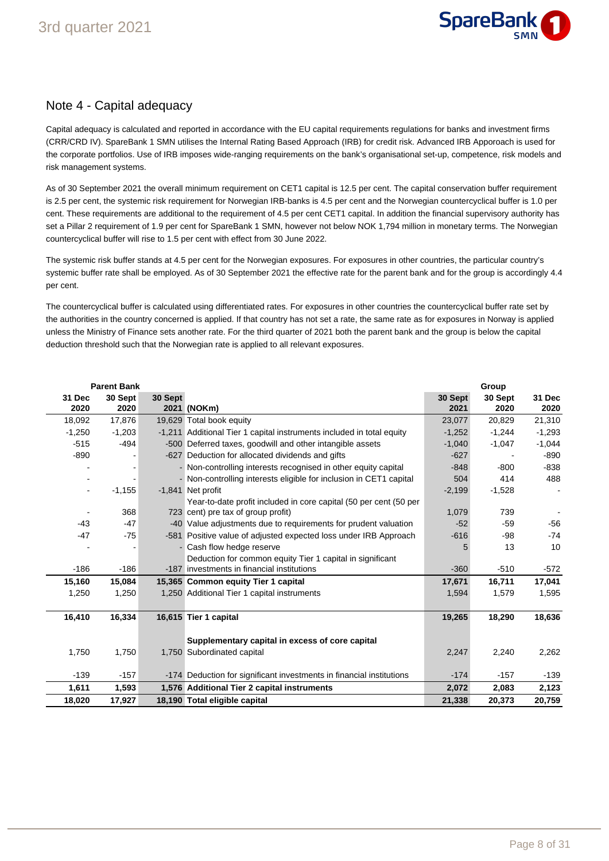

### Note 4 - Capital adequacy

Capital adequacy is calculated and reported in accordance with the EU capital requirements regulations for banks and investment firms (CRR/CRD IV). SpareBank 1 SMN utilises the Internal Rating Based Approach (IRB) for credit risk. Advanced IRB Apporoach is used for the corporate portfolios. Use of IRB imposes wide-ranging requirements on the bank's organisational set-up, competence, risk models and risk management systems.

As of 30 September 2021 the overall minimum requirement on CET1 capital is 12.5 per cent. The capital conservation buffer requirement is 2.5 per cent, the systemic risk requirement for Norwegian IRB-banks is 4.5 per cent and the Norwegian countercyclical buffer is 1.0 per cent. These requirements are additional to the requirement of 4.5 per cent CET1 capital. In addition the financial supervisory authority has set a Pillar 2 requirement of 1.9 per cent for SpareBank 1 SMN, however not below NOK 1,794 million in monetary terms. The Norwegian countercyclical buffer will rise to 1.5 per cent with effect from 30 June 2022.

The systemic risk buffer stands at 4.5 per cent for the Norwegian exposures. For exposures in other countries, the particular country's systemic buffer rate shall be employed. As of 30 September 2021 the effective rate for the parent bank and for the group is accordingly 4.4 per cent.

The countercyclical buffer is calculated using differentiated rates. For exposures in other countries the countercyclical buffer rate set by the authorities in the country concerned is applied. If that country has not set a rate, the same rate as for exposures in Norway is applied unless the Ministry of Finance sets another rate. For the third quarter of 2021 both the parent bank and the group is below the capital deduction threshold such that the Norwegian rate is applied to all relevant exposures.

|                              | <b>Parent Bank</b> |         |                                                                       |                 | Group           |                |
|------------------------------|--------------------|---------|-----------------------------------------------------------------------|-----------------|-----------------|----------------|
| 31 Dec<br>2020               | 30 Sept<br>2020    | 30 Sept | 2021 (NOKm)                                                           | 30 Sept<br>2021 | 30 Sept<br>2020 | 31 Dec<br>2020 |
| 18,092                       | 17,876             |         | 19,629 Total book equity                                              | 23,077          | 20,829          | 21,310         |
| $-1,250$                     | $-1,203$           |         | -1,211 Additional Tier 1 capital instruments included in total equity | $-1,252$        | $-1,244$        | $-1,293$       |
| $-515$                       | $-494$             |         | -500 Deferred taxes, goodwill and other intangible assets             | $-1,040$        | $-1,047$        | $-1,044$       |
| $-890$                       |                    |         | -627 Deduction for allocated dividends and gifts                      | $-627$          |                 | $-890$         |
|                              |                    |         | - Non-controlling interests recognised in other equity capital        | $-848$          | $-800$          | $-838$         |
|                              |                    |         | - Non-controlling interests eligible for inclusion in CET1 capital    | 504             | 414             | 488            |
| $\qquad \qquad \blacksquare$ | $-1,155$           |         | -1.841 Net profit                                                     | $-2,199$        | $-1,528$        |                |
|                              |                    |         | Year-to-date profit included in core capital (50 per cent (50 per     |                 |                 |                |
|                              | 368                |         | 723 cent) pre tax of group profit)                                    | 1,079           | 739             |                |
| $-43$                        | $-47$              |         | -40 Value adjustments due to requirements for prudent valuation       | $-52$           | $-59$           | $-56$          |
| $-47$                        | $-75$              |         | -581 Positive value of adjusted expected loss under IRB Approach      | $-616$          | $-98$           | $-74$          |
|                              |                    |         | Cash flow hedge reserve                                               | 5               | 13              | 10             |
|                              |                    |         | Deduction for common equity Tier 1 capital in significant             |                 |                 |                |
| $-186$                       | $-186$             |         | -187 investments in financial institutions                            | $-360$          | $-510$          | $-572$         |
| 15,160                       | 15,084             |         | 15,365 Common equity Tier 1 capital                                   | 17,671          | 16,711          | 17,041         |
| 1,250                        | 1.250              |         | 1,250 Additional Tier 1 capital instruments                           | 1,594           | 1,579           | 1,595          |
| 16,410                       | 16,334             |         | 16,615 Tier 1 capital                                                 | 19,265          | 18,290          | 18,636         |
|                              |                    |         | Supplementary capital in excess of core capital                       |                 |                 |                |
| 1,750                        | 1,750              |         | 1,750 Subordinated capital                                            | 2,247           | 2,240           | 2,262          |
| $-139$                       | $-157$             |         | -174 Deduction for significant investments in financial institutions  | $-174$          | $-157$          | $-139$         |
| 1,611                        | 1,593              |         | 1,576 Additional Tier 2 capital instruments                           | 2,072           | 2,083           | 2,123          |
| 18,020                       | 17,927             |         | 18,190 Total eligible capital                                         | 21,338          | 20,373          | 20,759         |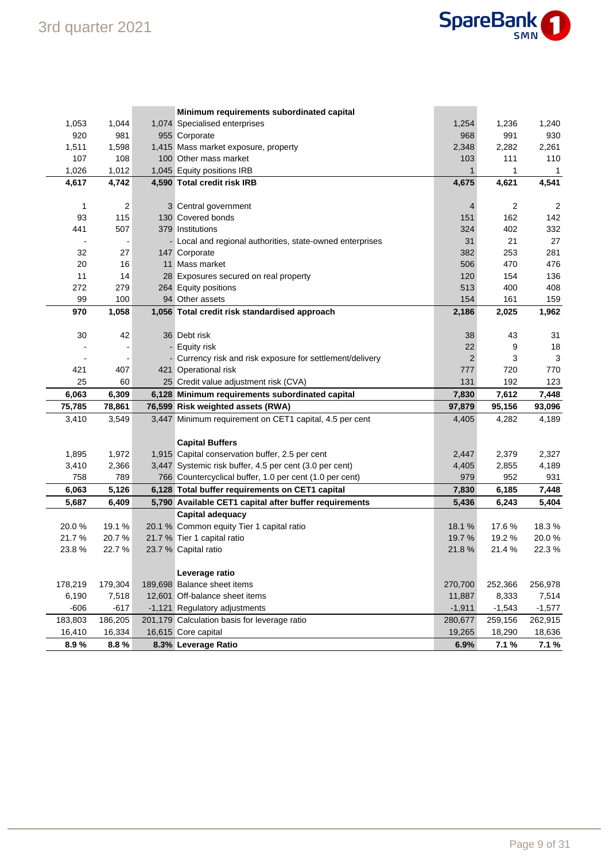

|                |                 | Minimum requirements subordinated capital                            |                |                |                |
|----------------|-----------------|----------------------------------------------------------------------|----------------|----------------|----------------|
| 1,053          | 1,044           | 1,074 Specialised enterprises                                        | 1,254          | 1,236          | 1,240          |
| 920            | 981             | 955 Corporate                                                        | 968            | 991            | 930            |
| 1,511          | 1,598           | 1,415 Mass market exposure, property                                 | 2,348          | 2,282          | 2,261          |
| 107            | 108             | 100 Other mass market                                                | 103            | 111            | 110            |
| 1,026          | 1,012           | 1,045 Equity positions IRB                                           | $\mathbf{1}$   | 1              | 1              |
| 4,617          | 4,742           | 4,590 Total credit risk IRB                                          | 4,675          | 4,621          | 4,541          |
|                |                 |                                                                      |                |                |                |
| 1              | $\overline{c}$  | 3 Central government                                                 | 4              | 2              | 2              |
| 93             | 115             | 130 Covered bonds                                                    | 151            | 162            | 142            |
| 441            | 507             | 379 Institutions                                                     | 324            | 402            | 332            |
|                |                 | - Local and regional authorities, state-owned enterprises            | 31             | 21             | 27             |
| 32             | 27              | 147 Corporate                                                        | 382            | 253            | 281            |
| 20             | 16              | 11 Mass market                                                       | 506            | 470            | 476            |
| 11             | 14              | 28 Exposures secured on real property                                | 120            | 154            | 136            |
| 272            | 279             | 264 Equity positions                                                 | 513            | 400            | 408            |
| 99             | 100             | 94 Other assets                                                      | 154            | 161            | 159            |
| 970            | 1,058           | 1,056 Total credit risk standardised approach                        | 2,186          | 2,025          | 1,962          |
|                |                 |                                                                      |                |                |                |
| 30             | 42              | 36 Debt risk                                                         | 38             | 43             | 31             |
|                |                 | - Equity risk                                                        | 22             | 9              | 18             |
|                |                 | - Currency risk and risk exposure for settlement/delivery            | $\overline{2}$ | 3              | 3              |
| 421            | 407             | 421 Operational risk                                                 | 777            | 720            | 770            |
| 25             | 60              | 25 Credit value adjustment risk (CVA)                                | 131            | 192            | 123            |
| 6,063          | 6,309           | 6,128 Minimum requirements subordinated capital                      | 7,830          | 7,612          | 7,448          |
| 75,785         | 78,861          | 76,599 Risk weighted assets (RWA)                                    | 97,879         | 95,156         | 93,096         |
| 3,410          | 3,549           | 3,447 Minimum requirement on CET1 capital, 4.5 per cent              | 4,405          | 4,282          | 4,189          |
|                |                 |                                                                      |                |                |                |
|                |                 | <b>Capital Buffers</b>                                               |                |                |                |
| 1,895          | 1,972           | 1,915 Capital conservation buffer, 2.5 per cent                      | 2,447          | 2,379          | 2,327          |
| 3,410<br>758   | 2,366<br>789    | 3,447 Systemic risk buffer, 4.5 per cent (3.0 per cent)              | 4,405<br>979   | 2,855<br>952   | 4,189<br>931   |
|                |                 | 766 Countercyclical buffer, 1.0 per cent (1.0 per cent)              |                |                |                |
| 6,063          | 5,126           | 6,128 Total buffer requirements on CET1 capital                      | 7,830          | 6,185          | 7,448          |
| 5,687          | 6,409           | 5,790 Available CET1 capital after buffer requirements               | 5,436          | 6,243          | 5,404          |
|                |                 | <b>Capital adequacy</b><br>20.1 % Common equity Tier 1 capital ratio | 18.1%          |                |                |
| 20.0%<br>21.7% | 19.1 %<br>20.7% |                                                                      | 19.7%          | 17.6%<br>19.2% | 18.3%<br>20.0% |
| 23.8%          | 22.7%           | 21.7 % Tier 1 capital ratio<br>23.7 % Capital ratio                  | 21.8%          | 21.4%          | 22.3%          |
|                |                 |                                                                      |                |                |                |
|                |                 | Leverage ratio                                                       |                |                |                |
| 178,219        | 179,304         | 189,698 Balance sheet items                                          | 270,700        | 252,366        | 256,978        |
| 6,190          | 7,518           | 12,601 Off-balance sheet items                                       | 11,887         | 8,333          | 7,514          |
|                |                 |                                                                      |                |                |                |
|                |                 |                                                                      |                |                |                |
| $-606$         | $-617$          | -1,121 Regulatory adjustments                                        | $-1,911$       | $-1,543$       | $-1,577$       |
| 183,803        | 186,205         | 201,179 Calculation basis for leverage ratio                         | 280,677        | 259,156        | 262,915        |
| 16,410<br>8.9% | 16,334<br>8.8%  | 16,615 Core capital<br>8.3% Leverage Ratio                           | 19,265<br>6.9% | 18,290<br>7.1% | 18,636<br>7.1% |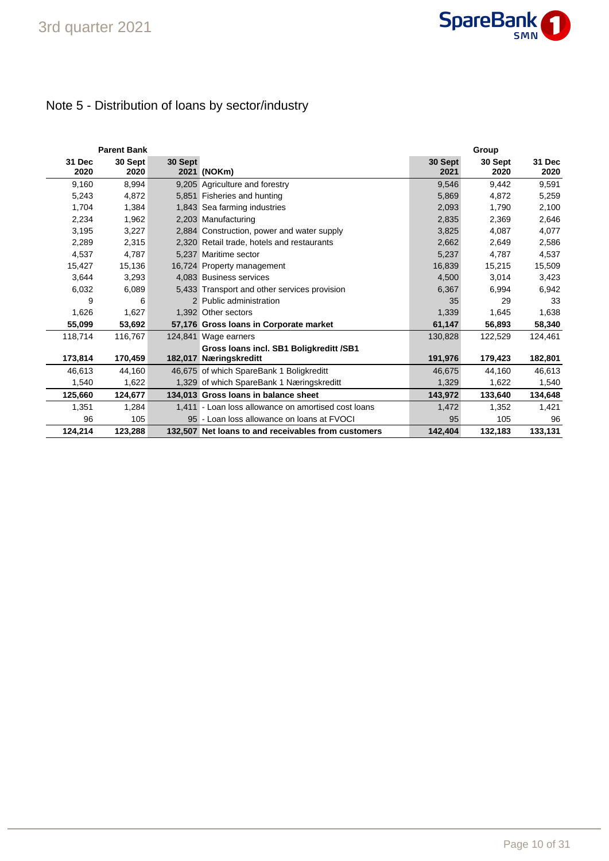# Note 5 - Distribution of loans by sector/industry

|                | <b>Parent Bank</b> |         |                                                     |                 | Group           |                |
|----------------|--------------------|---------|-----------------------------------------------------|-----------------|-----------------|----------------|
| 31 Dec<br>2020 | 30 Sept<br>2020    | 30 Sept | 2021 (NOKm)                                         | 30 Sept<br>2021 | 30 Sept<br>2020 | 31 Dec<br>2020 |
| 9,160          | 8,994              |         | 9,205 Agriculture and forestry                      | 9,546           | 9.442           | 9,591          |
| 5,243          | 4,872              |         | 5,851 Fisheries and hunting                         | 5,869           | 4,872           | 5,259          |
| 1,704          | 1,384              |         | 1,843 Sea farming industries                        | 2,093           | 1,790           | 2,100          |
| 2,234          | 1,962              |         | 2,203 Manufacturing                                 | 2,835           | 2,369           | 2,646          |
| 3.195          | 3,227              |         | 2,884 Construction, power and water supply          | 3,825           | 4.087           | 4,077          |
| 2,289          | 2,315              |         | 2,320 Retail trade, hotels and restaurants          | 2,662           | 2,649           | 2,586          |
| 4,537          | 4,787              |         | 5.237 Maritime sector                               | 5,237           | 4,787           | 4,537          |
| 15,427         | 15,136             |         | 16,724 Property management                          | 16,839          | 15,215          | 15,509         |
| 3,644          | 3,293              |         | 4.083 Business services                             | 4,500           | 3,014           | 3,423          |
| 6,032          | 6,089              |         | 5,433 Transport and other services provision        | 6,367           | 6,994           | 6,942          |
| 9              | 6                  |         | 2 Public administration                             | 35              | 29              | 33             |
| 1,626          | 1,627              |         | 1,392 Other sectors                                 | 1,339           | 1,645           | 1,638          |
| 55,099         | 53,692             |         | 57,176 Gross Ioans in Corporate market              | 61,147          | 56,893          | 58,340         |
| 118,714        | 116,767            |         | 124,841 Wage earners                                | 130,828         | 122,529         | 124,461        |
|                |                    |         | Gross Ioans incl. SB1 Boligkreditt /SB1             |                 |                 |                |
| 173,814        | 170,459            |         | 182,017 Næringskreditt                              | 191,976         | 179,423         | 182,801        |
| 46.613         | 44,160             |         | 46,675 of which SpareBank 1 Boligkreditt            | 46,675          | 44,160          | 46,613         |
| 1,540          | 1,622              |         | 1,329 of which SpareBank 1 Næringskreditt           | 1,329           | 1,622           | 1,540          |
| 125,660        | 124,677            |         | 134,013 Gross Ioans in balance sheet                | 143,972         | 133,640         | 134,648        |
| 1,351          | 1,284              |         | 1,411 - Loan loss allowance on amortised cost loans | 1,472           | 1,352           | 1,421          |
| 96             | 105                |         | 95 - Loan loss allowance on loans at FVOCI          | 95              | 105             | 96             |
| 124,214        | 123,288            |         | 132,507 Net loans to and receivables from customers | 142,404         | 132,183         | 133,131        |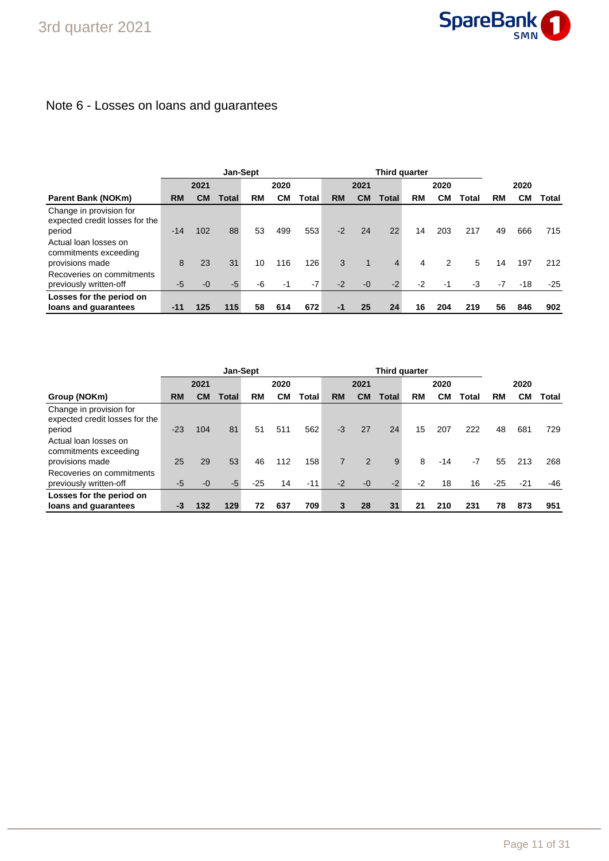# Note 6 - Losses on loans and guarantees

|                                                                     |           | Jan-Sept  |       |    |      |       | Third quarter |             |                |           |      |       |      |       |       |
|---------------------------------------------------------------------|-----------|-----------|-------|----|------|-------|---------------|-------------|----------------|-----------|------|-------|------|-------|-------|
|                                                                     |           | 2021      |       |    | 2020 |       |               | 2021        |                |           | 2020 |       |      | 2020  |       |
| <b>Parent Bank (NOKm)</b>                                           | <b>RM</b> | <b>CM</b> | Total | RM | CМ   | Total | <b>RM</b>     | <b>CM</b>   | Total          | <b>RM</b> | CМ   | Total | RM   | CМ    | Total |
| Change in provision for<br>expected credit losses for the<br>period | $-14$     | 102       | 88    | 53 | 499  | 553   | $-2$          | 24          | 22             | 14        | 203  | 217   | 49   | 666   | 715   |
| Actual loan losses on<br>commitments exceeding<br>provisions made   | 8         | 23        | 31    | 10 | 116  | 126   | 3             | $\mathbf 1$ | $\overline{4}$ | 4         | 2    | 5     | 14   | 197   | 212   |
| Recoveries on commitments<br>previously written-off                 | $-5$      | $-0$      | $-5$  | -6 | $-1$ | $-7$  | $-2$          | $-0$        | $-2$           | $-2$      | $-1$ | $-3$  | $-7$ | $-18$ | $-25$ |
| Losses for the period on<br>loans and guarantees                    | $-11$     | 125       | 115   | 58 | 614  | 672   | $-1$          | 25          | 24             | 16        | 204  | 219   | 56   | 846   | 902   |

|                                                                     |           |      | Jan-Sept     |       |      |       |                |           | Third quarter |           |       |       |       |       |       |
|---------------------------------------------------------------------|-----------|------|--------------|-------|------|-------|----------------|-----------|---------------|-----------|-------|-------|-------|-------|-------|
|                                                                     |           | 2021 |              |       | 2020 |       |                | 2021      |               |           | 2020  |       |       | 2020  |       |
| Group (NOKm)                                                        | <b>RM</b> | CМ   | <b>Total</b> | RM    | CМ   | Total | <b>RM</b>      | <b>CM</b> | Total         | <b>RM</b> | CМ    | Total | RM    | CМ    | Total |
| Change in provision for<br>expected credit losses for the<br>period | $-23$     | 104  | 81           | 51    | 511  | 562   | $-3$           | 27        | 24            | 15        | 207   | 222   | 48    | 681   | 729   |
| Actual loan losses on<br>commitments exceeding<br>provisions made   | 25        | 29   | 53           | 46    | 112  | 158   | $\overline{7}$ | 2         | 9             | 8         | $-14$ | $-7$  | 55    | 213   | 268   |
| Recoveries on commitments<br>previously written-off                 | -5        | $-0$ | $-5$         | $-25$ | 14   | $-11$ | $-2$           | $-0$      | $-2$          | $-2$      | 18    | 16    | $-25$ | $-21$ | -46   |
| Losses for the period on<br>loans and guarantees                    | -3        | 132  | 129          | 72    | 637  | 709   | 3              | 28        | 31            | 21        | 210   | 231   | 78    | 873   | 951   |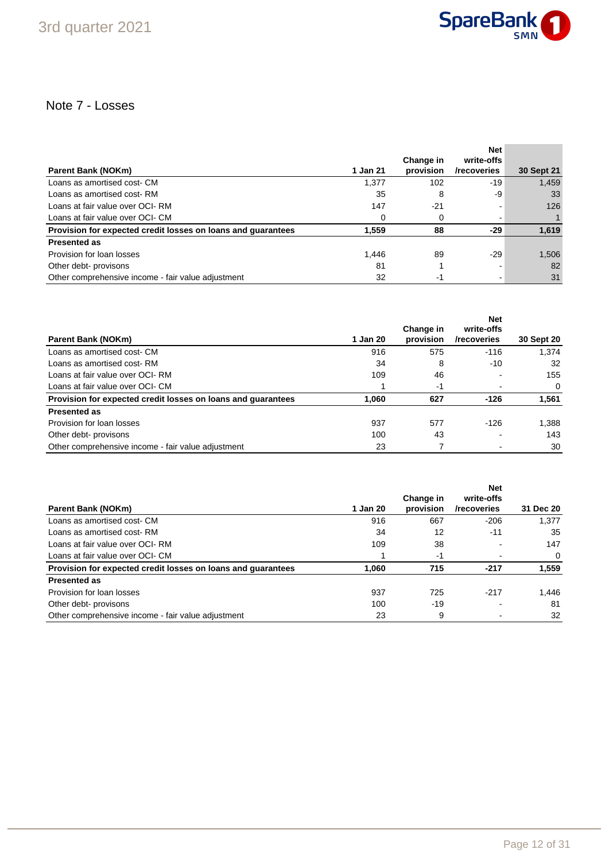

## Note 7 - Losses

|                                                              |          |                        | <b>Net</b>                |            |
|--------------------------------------------------------------|----------|------------------------|---------------------------|------------|
| <b>Parent Bank (NOKm)</b>                                    | 1 Jan 21 | Change in<br>provision | write-offs<br>/recoveries | 30 Sept 21 |
|                                                              |          |                        |                           |            |
| Loans as amortised cost- CM                                  | 1.377    | 102                    | -19                       | 1,459      |
| Loans as amortised cost-RM                                   | 35       | 8                      | -9                        | 33         |
| Loans at fair value over OCI-RM                              | 147      | $-21$                  |                           | 126        |
| Loans at fair value over OCI- CM                             | $\Omega$ | 0                      |                           |            |
| Provision for expected credit losses on loans and quarantees | 1.559    | 88                     | -29                       | 1,619      |
| <b>Presented as</b>                                          |          |                        |                           |            |
| Provision for loan losses                                    | 1.446    | 89                     | $-29$                     | 1,506      |
| Other debt- provisons                                        | 81       |                        |                           | 82         |
| Other comprehensive income - fair value adjustment           | 32       | -1                     |                           | 31         |

|                                                              |          | Change in | <b>Net</b><br>write-offs |            |
|--------------------------------------------------------------|----------|-----------|--------------------------|------------|
| <b>Parent Bank (NOKm)</b>                                    | 1 Jan 20 | provision | /recoveries              | 30 Sept 20 |
| Loans as amortised cost- CM                                  | 916      | 575       | $-116$                   | 1.374      |
| Loans as amortised cost-RM                                   | 34       | 8         | $-10$                    | 32         |
| Loans at fair value over OCI-RM                              | 109      | 46        |                          | 155        |
| Loans at fair value over OCI- CM                             |          | -1        |                          | 0          |
| Provision for expected credit losses on loans and quarantees | 1.060    | 627       | $-126$                   | 1,561      |
| <b>Presented as</b>                                          |          |           |                          |            |
| Provision for loan losses                                    | 937      | 577       | $-126$                   | 1.388      |
| Other debt- provisons                                        | 100      | 43        |                          | 143        |
| Other comprehensive income - fair value adjustment           | 23       |           |                          | 30         |

|                                                              |          |                        | <b>Net</b>                |           |
|--------------------------------------------------------------|----------|------------------------|---------------------------|-----------|
| <b>Parent Bank (NOKm)</b>                                    | 1 Jan 20 | Change in<br>provision | write-offs<br>/recoveries | 31 Dec 20 |
| Loans as amortised cost- CM                                  | 916      | 667                    | $-206$                    | 1.377     |
| Loans as amortised cost- RM                                  | 34       | 12                     | $-11$                     | 35        |
| Loans at fair value over OCI-RM                              | 109      | 38                     |                           | 147       |
| Loans at fair value over OCI- CM                             |          | -1                     |                           | 0         |
| Provision for expected credit losses on loans and guarantees | 1.060    | 715                    | $-217$                    | 1,559     |
| <b>Presented as</b>                                          |          |                        |                           |           |
| Provision for loan losses                                    | 937      | 725                    | $-217$                    | 1,446     |
| Other debt- provisons                                        | 100      | -19                    |                           | 81        |
| Other comprehensive income - fair value adjustment           | 23       | 9                      |                           | 32        |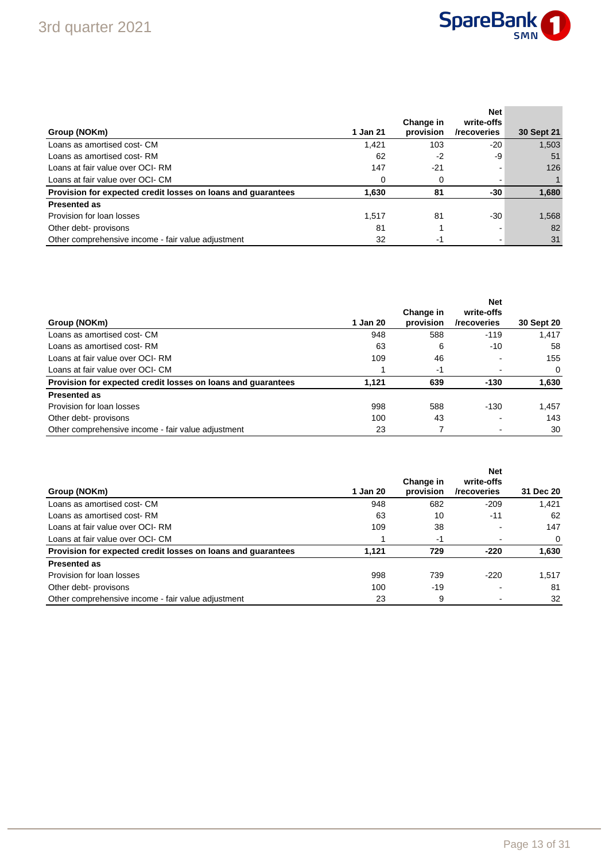

| Group (NOKm)                                                 | 1 Jan 21 | Change in<br>provision | <b>Net</b><br>write-offs<br>/recoveries | 30 Sept 21 |
|--------------------------------------------------------------|----------|------------------------|-----------------------------------------|------------|
| Loans as amortised cost- CM                                  | 1,421    | 103                    | -20                                     | 1,503      |
| Loans as amortised cost-RM                                   | 62       | -2                     | -9                                      | 51         |
| Loans at fair value over OCI-RM                              | 147      | $-21$                  |                                         | 126        |
| Loans at fair value over OCI- CM                             | $\Omega$ |                        |                                         |            |
| Provision for expected credit losses on loans and guarantees | 1,630    | 81                     | -30                                     | 1,680      |
| <b>Presented as</b>                                          |          |                        |                                         |            |
| Provision for loan losses                                    | 1.517    | 81                     | $-30$                                   | 1,568      |
| Other debt- provisons                                        | 81       |                        |                                         | 82         |
| Other comprehensive income - fair value adjustment           | 32       | -1                     |                                         | 31         |

|                                                              |          |                        | <b>Net</b>                |            |
|--------------------------------------------------------------|----------|------------------------|---------------------------|------------|
| Group (NOKm)                                                 | 1 Jan 20 | Change in<br>provision | write-offs<br>/recoveries | 30 Sept 20 |
| Loans as amortised cost- CM                                  | 948      | 588                    | $-119$                    | 1.417      |
| Loans as amortised cost-RM                                   | 63       | 6                      | $-10$                     | 58         |
| Loans at fair value over OCI-RM                              | 109      | 46                     |                           | 155        |
| Loans at fair value over OCI- CM                             |          | -1                     |                           | 0          |
| Provision for expected credit losses on loans and guarantees | 1,121    | 639                    | $-130$                    | 1,630      |
| <b>Presented as</b>                                          |          |                        |                           |            |
| Provision for loan losses                                    | 998      | 588                    | $-130$                    | 1,457      |
| Other debt- provisons                                        | 100      | 43                     |                           | 143        |
| Other comprehensive income - fair value adjustment           | 23       |                        |                           | 30         |

| Group (NOKm)                                                 | 1 Jan 20 | Change in<br>provision | <b>Net</b><br>write-offs<br>/recoveries | 31 Dec 20 |
|--------------------------------------------------------------|----------|------------------------|-----------------------------------------|-----------|
| Loans as amortised cost- CM                                  | 948      | 682                    | $-209$                                  | 1.421     |
| Loans as amortised cost-RM                                   | 63       | 10                     | $-11$                                   | 62        |
| Loans at fair value over OCI-RM                              | 109      | 38                     |                                         | 147       |
| Loans at fair value over OCI- CM                             |          | -1                     |                                         | $\Omega$  |
| Provision for expected credit losses on loans and guarantees | 1.121    | 729                    | $-220$                                  | 1,630     |
| <b>Presented as</b>                                          |          |                        |                                         |           |
| Provision for loan losses                                    | 998      | 739                    | $-220$                                  | 1.517     |
| Other debt- provisons                                        | 100      | $-19$                  |                                         | 81        |
| Other comprehensive income - fair value adjustment           | 23       | 9                      |                                         | 32        |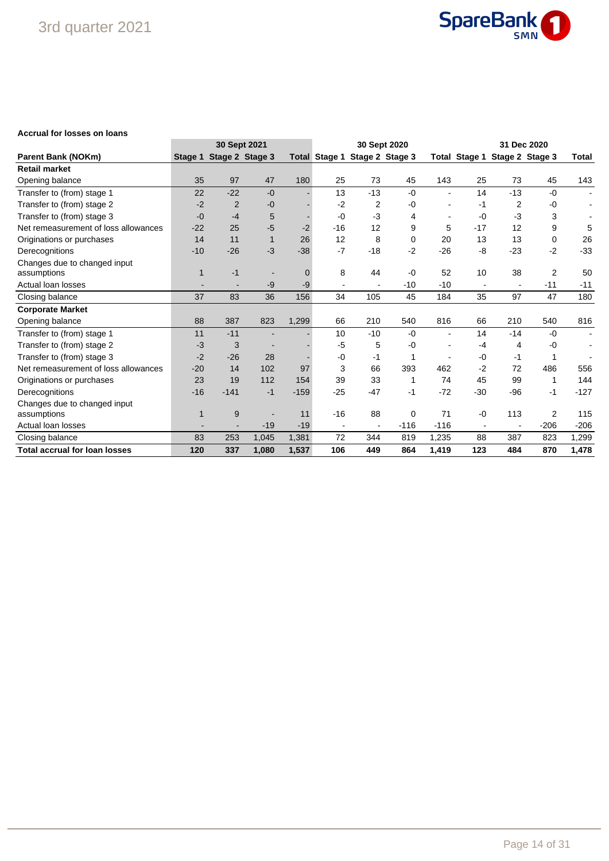

### **Accrual for losses on loans**

|                                      | 30 Sept 2021 |                          |              |          |                      |                | 30 Sept 2020    |                | 31 Dec 2020          |       |                 |                |
|--------------------------------------|--------------|--------------------------|--------------|----------|----------------------|----------------|-----------------|----------------|----------------------|-------|-----------------|----------------|
| <b>Parent Bank (NOKm)</b>            | Stage 1      | Stage 2 Stage 3          |              |          | <b>Total Stage 1</b> |                | Stage 2 Stage 3 |                | <b>Total Stage 1</b> |       | Stage 2 Stage 3 | <b>Total</b>   |
| <b>Retail market</b>                 |              |                          |              |          |                      |                |                 |                |                      |       |                 |                |
| Opening balance                      | 35           | 97                       | 47           | 180      | 25                   | 73             | 45              | 143            | 25                   | 73    | 45              | 143            |
| Transfer to (from) stage 1           | 22           | $-22$                    | $-0$         |          | 13                   | $-13$          | $-0$            | $\blacksquare$ | 14                   | $-13$ | $-0$            |                |
| Transfer to (from) stage 2           | $-2$         | $\overline{2}$           | -0           |          | $-2$                 | 2              | -0              |                | -1                   | 2     | -0              |                |
| Transfer to (from) stage 3           | $-0$         | $-4$                     | 5            |          | -0                   | $-3$           | 4               |                | $-0$                 | $-3$  | 3               |                |
| Net remeasurement of loss allowances | $-22$        | 25                       | $-5$         | $-2$     | $-16$                | 12             | 9               | 5              | $-17$                | 12    | 9               | 5              |
| Originations or purchases            | 14           | 11                       | $\mathbf{1}$ | 26       | 12                   | 8              | $\Omega$        | 20             | 13                   | 13    | 0               | 26             |
| Derecognitions                       | $-10$        | $-26$                    | $-3$         | $-38$    | $-7$                 | $-18$          | $-2$            | $-26$          | -8                   | $-23$ | $-2$            | $-33$          |
| Changes due to changed input         |              |                          |              |          |                      |                |                 |                |                      |       |                 |                |
| assumptions                          | 1            | $-1$                     |              | $\Omega$ | 8                    | 44             | $-0$            | 52             | 10                   | 38    | $\overline{2}$  | 50             |
| Actual loan losses                   |              | $\overline{\phantom{a}}$ | -9           | -9       |                      |                | $-10$           | $-10$          |                      |       | $-11$           | $-11$          |
| Closing balance                      | 37           | 83                       | 36           | 156      | 34                   | 105            | 45              | 184            | 35                   | 97    | 47              | 180            |
| <b>Corporate Market</b>              |              |                          |              |          |                      |                |                 |                |                      |       |                 |                |
| Opening balance                      | 88           | 387                      | 823          | 1,299    | 66                   | 210            | 540             | 816            | 66                   | 210   | 540             | 816            |
| Transfer to (from) stage 1           | 11           | $-11$                    |              |          | 10                   | $-10$          | -0              |                | 14                   | $-14$ | $-0$            | $\blacksquare$ |
| Transfer to (from) stage 2           | $-3$         | 3                        |              |          | $-5$                 | 5              | -0              |                | $-4$                 | 4     | -0              |                |
| Transfer to (from) stage 3           | $-2$         | $-26$                    | 28           |          | -0                   | -1             |                 |                | $-0$                 | -1    |                 |                |
| Net remeasurement of loss allowances | $-20$        | 14                       | 102          | 97       | 3                    | 66             | 393             | 462            | $-2$                 | 72    | 486             | 556            |
| Originations or purchases            | 23           | 19                       | 112          | 154      | 39                   | 33             | 1               | 74             | 45                   | 99    | 1               | 144            |
| Derecognitions                       | $-16$        | $-141$                   | $-1$         | $-159$   | $-25$                | $-47$          | -1              | $-72$          | $-30$                | $-96$ | $-1$            | $-127$         |
| Changes due to changed input         |              |                          |              |          |                      |                |                 |                |                      |       |                 |                |
| assumptions                          |              | 9                        |              | 11       | $-16$                | 88             | 0               | 71             | $-0$                 | 113   | 2               | 115            |
| Actual loan losses                   |              |                          | $-19$        | $-19$    | $\qquad \qquad$      | $\blacksquare$ | $-116$          | $-116$         |                      |       | $-206$          | $-206$         |
| Closing balance                      | 83           | 253                      | 1,045        | 1,381    | 72                   | 344            | 819             | 1,235          | 88                   | 387   | 823             | 1,299          |
| <b>Total accrual for loan losses</b> | 120          | 337                      | 1,080        | 1,537    | 106                  | 449            | 864             | 1,419          | 123                  | 484   | 870             | 1,478          |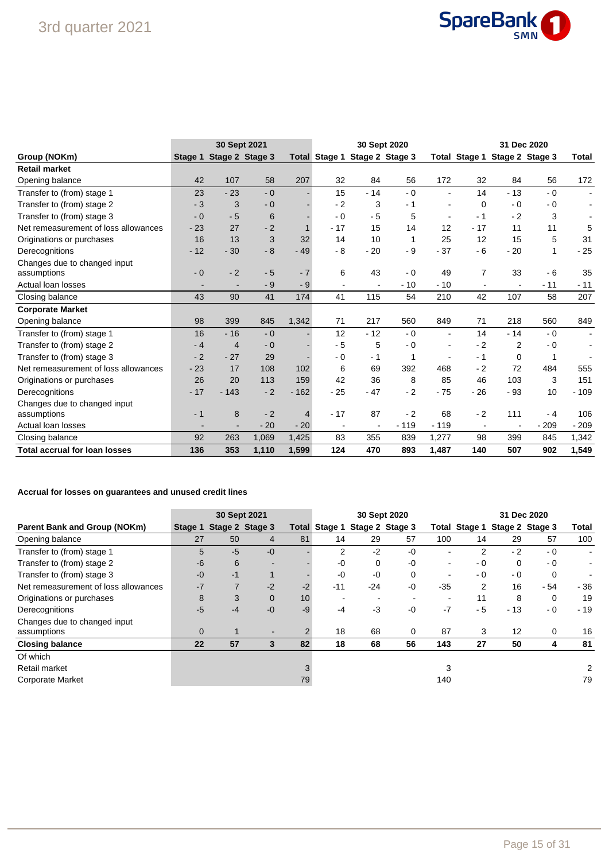

|                                      |         | 30 Sept 2021             |       |        |                |       | 30 Sept 2020                  |                          | 31 Dec 2020              |                               |        |                |
|--------------------------------------|---------|--------------------------|-------|--------|----------------|-------|-------------------------------|--------------------------|--------------------------|-------------------------------|--------|----------------|
| Group (NOKm)                         | Stage 1 | Stage 2 Stage 3          |       |        |                |       | Total Stage 1 Stage 2 Stage 3 |                          |                          | Total Stage 1 Stage 2 Stage 3 |        | Total          |
| <b>Retail market</b>                 |         |                          |       |        |                |       |                               |                          |                          |                               |        |                |
| Opening balance                      | 42      | 107                      | 58    | 207    | 32             | 84    | 56                            | 172                      | 32                       | 84                            | 56     | 172            |
| Transfer to (from) stage 1           | 23      | $-23$                    | $-0$  |        | 15             | $-14$ | $-0$                          | ÷                        | 14                       | $-13$                         | $-0$   |                |
| Transfer to (from) stage 2           | $-3$    | 3                        | $-0$  |        | $-2$           | 3     | $-1$                          |                          | $\mathbf 0$              | $-0$                          | $-0$   |                |
| Transfer to (from) stage 3           | $-0$    | $-5$                     | 6     |        | $-0$           | $-5$  | 5                             |                          | $-1$                     | $-2$                          | 3      |                |
| Net remeasurement of loss allowances | $-23$   | 27                       | $-2$  |        | $-17$          | 15    | 14                            | 12                       | $-17$                    | 11                            | 11     | 5              |
| Originations or purchases            | 16      | 13                       | 3     | 32     | 14             | 10    | -1                            | 25                       | 12                       | 15                            | 5      | 31             |
| Derecognitions                       | $-12$   | $-30$                    | $-8$  | $-49$  | $-8$           | $-20$ | - 9                           | $-37$                    | $-6$                     | $-20$                         | 1      | $-25$          |
| Changes due to changed input         |         |                          |       |        |                |       |                               |                          |                          |                               |        |                |
| assumptions                          | $-0$    | $-2$                     | $-5$  | $-7$   | 6              | 43    | $-0$                          | 49                       | $\overline{7}$           | 33                            | $-6$   | 35             |
| Actual loan losses                   |         | $\overline{\phantom{a}}$ | $-9$  | $-9$   | $\overline{a}$ |       | $-10$                         | $-10$                    | $\overline{\phantom{a}}$ |                               | $-11$  | $-11$          |
| Closing balance                      | 43      | 90                       | 41    | 174    | 41             | 115   | 54                            | 210                      | 42                       | 107                           | 58     | 207            |
| <b>Corporate Market</b>              |         |                          |       |        |                |       |                               |                          |                          |                               |        |                |
| Opening balance                      | 98      | 399                      | 845   | 1,342  | 71             | 217   | 560                           | 849                      | 71                       | 218                           | 560    | 849            |
| Transfer to (from) stage 1           | 16      | $-16$                    | $-0$  |        | 12             | $-12$ | $-0$                          | $\overline{\phantom{0}}$ | 14                       | $-14$                         | $-0$   | $\blacksquare$ |
| Transfer to (from) stage 2           | $-4$    | $\overline{4}$           | $-0$  |        | $-5$           | 5     | $-0$                          |                          | $-2$                     | 2                             | - 0    |                |
| Transfer to (from) stage 3           | $-2$    | $-27$                    | 29    |        | $-0$           | $-1$  | 1                             |                          | $-1$                     | $\Omega$                      |        |                |
| Net remeasurement of loss allowances | $-23$   | 17                       | 108   | 102    | 6              | 69    | 392                           | 468                      | $-2$                     | 72                            | 484    | 555            |
| Originations or purchases            | 26      | 20                       | 113   | 159    | 42             | 36    | 8                             | 85                       | 46                       | 103                           | 3      | 151            |
| Derecognitions                       | $-17$   | $-143$                   | $-2$  | $-162$ | $-25$          | $-47$ | $-2$                          | $-75$                    | $-26$                    | $-93$                         | 10     | $-109$         |
| Changes due to changed input         |         |                          |       |        |                |       |                               |                          |                          |                               |        |                |
| assumptions                          | $-1$    | 8                        | $-2$  | 4      | $-17$          | 87    | $-2$                          | 68                       | $-2$                     | 111                           | - 4    | 106            |
| Actual loan losses                   |         |                          | $-20$ | $-20$  |                |       | $-119$                        | $-119$                   | $\overline{\phantom{a}}$ | $\overline{\phantom{0}}$      | $-209$ | $-209$         |
| Closing balance                      | 92      | 263                      | 1,069 | 1,425  | 83             | 355   | 839                           | 1,277                    | 98                       | 399                           | 845    | 1,342          |
| <b>Total accrual for loan losses</b> | 136     | 353                      | 1,110 | 1,599  | 124            | 470   | 893                           | 1,487                    | 140                      | 507                           | 902    | 1,549          |

### **Accrual for losses on guarantees and unused credit lines**

|                                      | 30 Sept 2021 |                |                 |                 | 30 Sept 2020         |       |                          |                | 31 Dec 2020 |                               |      |                |
|--------------------------------------|--------------|----------------|-----------------|-----------------|----------------------|-------|--------------------------|----------------|-------------|-------------------------------|------|----------------|
| Parent Bank and Group (NOKm)         | Stage 1      |                | Stage 2 Stage 3 |                 | <b>Total Stage 1</b> |       | Stage 2 Stage 3          |                |             | Total Stage 1 Stage 2 Stage 3 |      | Total          |
| Opening balance                      | 27           | 50             | 4               | 81              | 14                   | 29    | 57                       | 100            | 14          | 29                            | 57   | 100            |
| Transfer to (from) stage 1           | 5            | $-5$           | $-0$            |                 | 2                    | $-2$  | $-0$                     |                | 2           | $-2$                          | - 0  | $\blacksquare$ |
| Transfer to (from) stage 2           | $-6$         | 6              |                 |                 | -0                   | 0     | $-0$                     | $\blacksquare$ | $-0$        | 0                             | $-0$ |                |
| Transfer to (from) stage 3           | $-0$         | $-1$           |                 |                 | $-0$                 | $-0$  | 0                        |                | - 0         | $-0$                          | 0    |                |
| Net remeasurement of loss allowances | $-7$         | $\overline{7}$ | $-2$            | $-2$            | $-11$                | $-24$ | $-0$                     | $-35$          | 2           | 16                            | - 54 | $-36$          |
| Originations or purchases            | 8            | 3              | $\overline{0}$  | 10 <sup>1</sup> |                      |       | $\overline{\phantom{0}}$ |                | 11          | 8                             | 0    | 19             |
| Derecognitions                       | $-5$         | $-4$           | $-0$            | $-9$            | $-4$                 | -3    | $-0$                     | $-7$           | $-5$        | $-13$                         | - 0  | $-19$          |
| Changes due to changed input         |              |                |                 |                 |                      |       |                          |                |             |                               |      |                |
| assumptions                          | $\Omega$     |                |                 |                 | 18                   | 68    | $\Omega$                 | 87             | 3           | 12                            | 0    | 16             |
| <b>Closing balance</b>               | 22           | 57             | 3               | 82              | 18                   | 68    | 56                       | 143            | 27          | 50                            | 4    | 81             |
| Of which                             |              |                |                 |                 |                      |       |                          |                |             |                               |      |                |
| Retail market                        |              |                |                 |                 |                      |       |                          |                |             |                               |      |                |
| Corporate Market                     |              |                |                 | 79              |                      |       |                          | 140            |             |                               |      | 79             |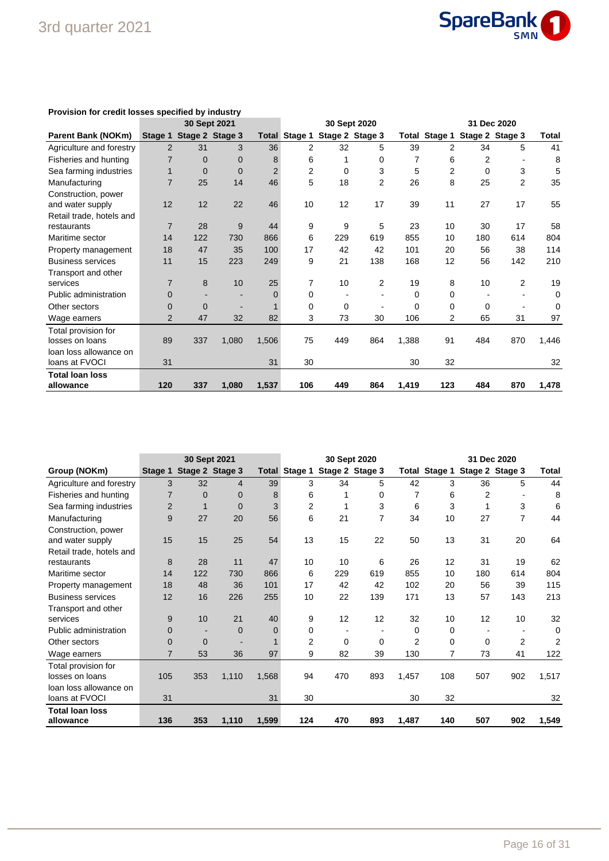

|                          |                | 30 Sept 2021 |                 |                | 30 Sept 2020         |          |                 |       | 31 Dec 2020    |                         |                |       |
|--------------------------|----------------|--------------|-----------------|----------------|----------------------|----------|-----------------|-------|----------------|-------------------------|----------------|-------|
| Parent Bank (NOKm)       | Stage 1        |              | Stage 2 Stage 3 |                | <b>Total Stage 1</b> |          | Stage 2 Stage 3 | Total |                | Stage 1 Stage 2 Stage 3 |                | Total |
| Agriculture and forestry | $\overline{2}$ | 31           | 3               | 36             | 2                    | 32       | 5               | 39    | 2              | 34                      | 5              | 41    |
| Fisheries and hunting    |                | $\Omega$     | 0               | 8              | 6                    |          | 0               | 7     | 6              | 2                       |                | 8     |
| Sea farming industries   |                | $\Omega$     | $\mathbf 0$     | $\overline{2}$ | $\overline{2}$       | $\Omega$ | 3               | 5     | $\overline{2}$ | $\Omega$                | 3              | 5     |
| Manufacturing            | $\overline{7}$ | 25           | 14              | 46             | 5                    | 18       | $\overline{2}$  | 26    | 8              | 25                      | $\overline{2}$ | 35    |
| Construction, power      |                |              |                 |                |                      |          |                 |       |                |                         |                |       |
| and water supply         | 12             | 12           | 22              | 46             | 10                   | 12       | 17              | 39    | 11             | 27                      | 17             | 55    |
| Retail trade, hotels and |                |              |                 |                |                      |          |                 |       |                |                         |                |       |
| restaurants              | $\overline{7}$ | 28           | 9               | 44             | 9                    | 9        | 5               | 23    | 10             | 30                      | 17             | 58    |
| Maritime sector          | 14             | 122          | 730             | 866            | 6                    | 229      | 619             | 855   | 10             | 180                     | 614            | 804   |
| Property management      | 18             | 47           | 35              | 100            | 17                   | 42       | 42              | 101   | 20             | 56                      | 38             | 114   |
| <b>Business services</b> | 11             | 15           | 223             | 249            | 9                    | 21       | 138             | 168   | 12             | 56                      | 142            | 210   |
| Transport and other      |                |              |                 |                |                      |          |                 |       |                |                         |                |       |
| services                 | 7              | 8            | 10              | 25             | 7                    | 10       | $\overline{2}$  | 19    | 8              | 10                      | $\overline{2}$ | 19    |
| Public administration    | 0              |              |                 | $\Omega$       | 0                    |          |                 | 0     | $\Omega$       |                         |                | 0     |
| Other sectors            | $\Omega$       | $\Omega$     |                 |                | 0                    | 0        |                 | 0     | $\Omega$       | $\Omega$                |                | 0     |
| Wage earners             | $\overline{2}$ | 47           | 32              | 82             | 3                    | 73       | 30              | 106   | 2              | 65                      | 31             | 97    |
| Total provision for      |                |              |                 |                |                      |          |                 |       |                |                         |                |       |
| losses on loans          | 89             | 337          | 1,080           | 1,506          | 75                   | 449      | 864             | 1,388 | 91             | 484                     | 870            | 1,446 |
| loan loss allowance on   |                |              |                 |                |                      |          |                 |       |                |                         |                |       |
| loans at FVOCI           | 31             |              |                 | 31             | 30                   |          |                 | 30    | 32             |                         |                | 32    |
| Total Ioan Ioss          |                |              |                 |                |                      |          |                 |       |                |                         |                |       |
| allowance                | 120            | 337          | 1,080           | 1,537          | 106                  | 449      | 864             | 1,419 | 123            | 484                     | 870            | 1,478 |

### **Provision for credit losses specified by industry**

|                          |                | 30 Sept 2021 |                 |          | 30 Sept 2020<br>31 Dec 2020 |     |                 |                |                               |          |                |                |
|--------------------------|----------------|--------------|-----------------|----------|-----------------------------|-----|-----------------|----------------|-------------------------------|----------|----------------|----------------|
| Group (NOKm)             | Stage 1        |              | Stage 2 Stage 3 |          | <b>Total Stage 1</b>        |     | Stage 2 Stage 3 |                | Total Stage 1 Stage 2 Stage 3 |          |                | Total          |
| Agriculture and forestry | 3              | 32           | 4               | 39       | 3                           | 34  | 5               | 42             | 3                             | 36       | 5              | 44             |
| Fisheries and hunting    |                | $\Omega$     | 0               | 8        | 6                           |     | 0               |                | 6                             | 2        |                | 8              |
| Sea farming industries   | $\overline{2}$ |              | 0               | 3        | 2                           |     | 3               | 6              | 3                             |          | 3              | 6              |
| Manufacturing            | 9              | 27           | 20              | 56       | 6                           | 21  | 7               | 34             | 10                            | 27       | $\overline{7}$ | 44             |
| Construction, power      |                |              |                 |          |                             |     |                 |                |                               |          |                |                |
| and water supply         | 15             | 15           | 25              | 54       | 13                          | 15  | 22              | 50             | 13                            | 31       | 20             | 64             |
| Retail trade, hotels and |                |              |                 |          |                             |     |                 |                |                               |          |                |                |
| restaurants              | 8              | 28           | 11              | 47       | 10                          | 10  | 6               | 26             | 12                            | 31       | 19             | 62             |
| Maritime sector          | 14             | 122          | 730             | 866      | 6                           | 229 | 619             | 855            | 10                            | 180      | 614            | 804            |
| Property management      | 18             | 48           | 36              | 101      | 17                          | 42  | 42              | 102            | 20                            | 56       | 39             | 115            |
| <b>Business services</b> | 12             | 16           | 226             | 255      | 10                          | 22  | 139             | 171            | 13                            | 57       | 143            | 213            |
| Transport and other      |                |              |                 |          |                             |     |                 |                |                               |          |                |                |
| services                 | 9              | 10           | 21              | 40       | 9                           | 12  | 12              | 32             | 10                            | 12       | 10             | 32             |
| Public administration    | $\Omega$       |              | $\Omega$        | $\Omega$ | 0                           |     |                 | 0              | $\mathbf 0$                   |          |                | $\Omega$       |
| Other sectors            | $\Omega$       | $\Omega$     |                 |          | $\overline{c}$              | 0   | 0               | $\overline{2}$ | $\Omega$                      | $\Omega$ | 2              | $\overline{2}$ |
| Wage earners             | 7              | 53           | 36              | 97       | 9                           | 82  | 39              | 130            | 7                             | 73       | 41             | 122            |
| Total provision for      |                |              |                 |          |                             |     |                 |                |                               |          |                |                |
| losses on loans          | 105            | 353          | 1,110           | 1,568    | 94                          | 470 | 893             | 1,457          | 108                           | 507      | 902            | 1,517          |
| loan loss allowance on   |                |              |                 |          |                             |     |                 |                |                               |          |                |                |
| loans at FVOCI           | 31             |              |                 | 31       | 30                          |     |                 | 30             | 32                            |          |                | 32             |
| <b>Total loan loss</b>   |                |              |                 |          |                             |     |                 |                |                               |          |                |                |
| allowance                | 136            | 353          | 1,110           | 1,599    | 124                         | 470 | 893             | 1,487          | 140                           | 507      | 902            | 1,549          |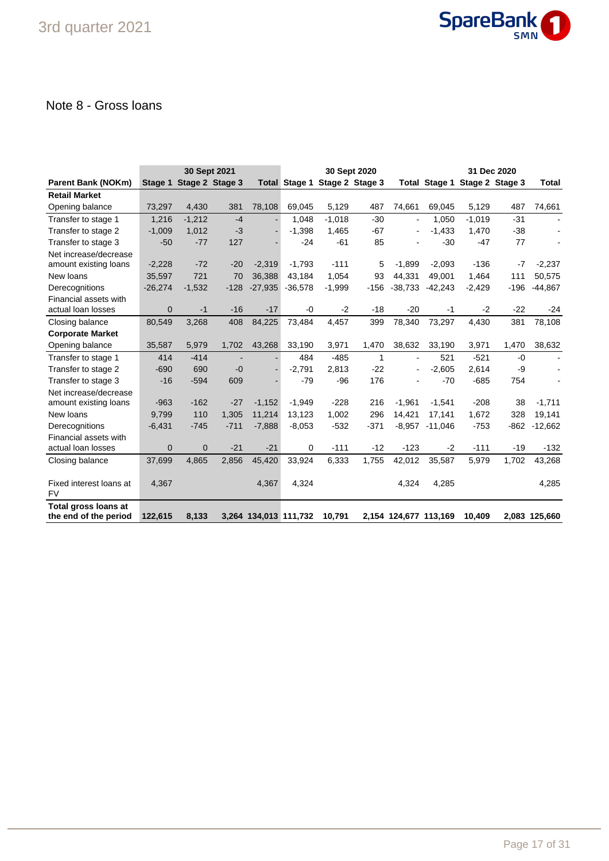

## Note 8 - Gross loans

|                                               |              | 30 Sept 2021            |        |                       |             |                               | 30 Sept 2020 |                       | 31 Dec 2020   |                 |        |               |
|-----------------------------------------------|--------------|-------------------------|--------|-----------------------|-------------|-------------------------------|--------------|-----------------------|---------------|-----------------|--------|---------------|
| <b>Parent Bank (NOKm)</b>                     |              | Stage 1 Stage 2 Stage 3 |        |                       |             | Total Stage 1 Stage 2 Stage 3 |              |                       | Total Stage 1 | Stage 2 Stage 3 |        | Total         |
| <b>Retail Market</b>                          |              |                         |        |                       |             |                               |              |                       |               |                 |        |               |
| Opening balance                               | 73,297       | 4,430                   | 381    | 78,108                | 69,045      | 5,129                         | 487          | 74,661                | 69,045        | 5,129           | 487    | 74,661        |
| Transfer to stage 1                           | 1,216        | $-1,212$                | $-4$   |                       | 1,048       | $-1,018$                      | $-30$        | $\blacksquare$        | 1,050         | $-1,019$        | $-31$  |               |
| Transfer to stage 2                           | $-1,009$     | 1,012                   | $-3$   |                       | $-1,398$    | 1,465                         | $-67$        | ÷,                    | $-1,433$      | 1,470           | $-38$  |               |
| Transfer to stage 3                           | $-50$        | $-77$                   | 127    |                       | $-24$       | $-61$                         | 85           |                       | $-30$         | $-47$           | 77     |               |
| Net increase/decrease                         |              |                         |        |                       |             |                               |              |                       |               |                 |        |               |
| amount existing loans                         | $-2,228$     | $-72$                   | $-20$  | $-2,319$              | $-1,793$    | $-111$                        | 5            | $-1,899$              | $-2,093$      | $-136$          | $-7$   | $-2,237$      |
| New loans                                     | 35,597       | 721                     | 70     | 36,388                | 43,184      | 1,054                         | 93           | 44.331                | 49,001        | 1,464           | 111    | 50,575        |
| Derecognitions                                | $-26,274$    | $-1,532$                | $-128$ | $-27,935$             | $-36,578$   | $-1,999$                      | $-156$       | $-38,733$             | $-42,243$     | $-2,429$        | $-196$ | $-44,867$     |
| Financial assets with                         |              |                         |        |                       |             |                               |              |                       |               |                 |        |               |
| actual loan losses                            | $\mathbf{0}$ | $-1$                    | $-16$  | $-17$                 | $-0$        | $-2$                          | $-18$        | $-20$                 | $-1$          | $-2$            | $-22$  | $-24$         |
| Closing balance                               | 80,549       | 3,268                   | 408    | 84,225                | 73,484      | 4,457                         | 399          | 78,340                | 73,297        | 4,430           | 381    | 78,108        |
| <b>Corporate Market</b>                       |              |                         |        |                       |             |                               |              |                       |               |                 |        |               |
| Opening balance                               | 35,587       | 5,979                   | 1,702  | 43,268                | 33,190      | 3,971                         | 1,470        | 38,632                | 33,190        | 3,971           | 1,470  | 38,632        |
| Transfer to stage 1                           | 414          | $-414$                  |        |                       | 484         | $-485$                        | 1            |                       | 521           | $-521$          | $-0$   |               |
| Transfer to stage 2                           | $-690$       | 690                     | $-0$   |                       | $-2,791$    | 2,813                         | $-22$        |                       | $-2,605$      | 2,614           | -9     |               |
| Transfer to stage 3                           | $-16$        | $-594$                  | 609    |                       | $-79$       | $-96$                         | 176          |                       | $-70$         | $-685$          | 754    |               |
| Net increase/decrease                         |              |                         |        |                       |             |                               |              |                       |               |                 |        |               |
| amount existing loans                         | $-963$       | $-162$                  | $-27$  | $-1,152$              | $-1,949$    | $-228$                        | 216          | $-1.961$              | $-1,541$      | $-208$          | 38     | $-1,711$      |
| New loans                                     | 9,799        | 110                     | 1,305  | 11,214                | 13,123      | 1,002                         | 296          | 14,421                | 17,141        | 1,672           | 328    | 19,141        |
| Derecognitions                                | $-6,431$     | $-745$                  | $-711$ | $-7,888$              | $-8,053$    | $-532$                        | $-371$       | $-8,957$              | $-11,046$     | $-753$          | $-862$ | $-12,662$     |
| Financial assets with                         |              |                         |        |                       |             |                               |              |                       |               |                 |        |               |
| actual loan losses                            | $\mathbf{0}$ | $\mathbf{0}$            | $-21$  | $-21$                 | $\mathbf 0$ | $-111$                        | $-12$        | $-123$                | $-2$          | $-111$          | $-19$  | $-132$        |
| Closing balance                               | 37,699       | 4,865                   | 2,856  | 45,420                | 33,924      | 6,333                         | 1,755        | 42,012                | 35,587        | 5,979           | 1,702  | 43,268        |
|                                               |              |                         |        |                       |             |                               |              |                       |               |                 |        |               |
| Fixed interest loans at<br><b>FV</b>          | 4,367        |                         |        | 4,367                 | 4,324       |                               |              | 4,324                 | 4,285         |                 |        | 4,285         |
| Total gross loans at<br>the end of the period | 122,615      | 8,133                   |        | 3,264 134,013 111,732 |             | 10,791                        |              | 2,154 124,677 113,169 |               | 10,409          |        | 2,083 125,660 |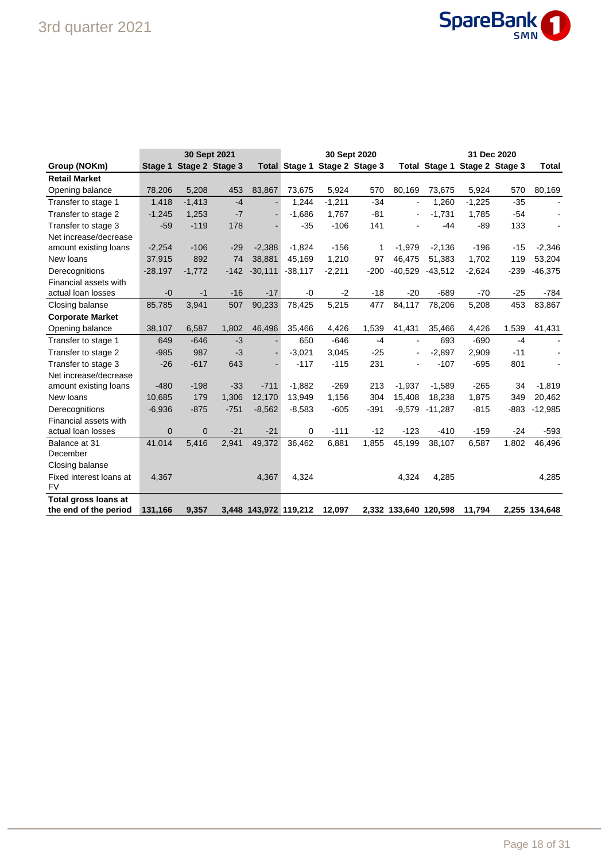

|                         |           | 30 Sept 2021    |        |           |                       |                               | 30 Sept 2020 |                       |           | 31 Dec 2020                   |        |                |
|-------------------------|-----------|-----------------|--------|-----------|-----------------------|-------------------------------|--------------|-----------------------|-----------|-------------------------------|--------|----------------|
| Group (NOKm)            | Stage 1   | Stage 2 Stage 3 |        |           |                       | Total Stage 1 Stage 2 Stage 3 |              |                       |           | Total Stage 1 Stage 2 Stage 3 |        | <b>Total</b>   |
| <b>Retail Market</b>    |           |                 |        |           |                       |                               |              |                       |           |                               |        |                |
| Opening balance         | 78,206    | 5,208           | 453    | 83,867    | 73,675                | 5,924                         | 570          | 80,169                | 73,675    | 5,924                         | 570    | 80,169         |
| Transfer to stage 1     | 1,418     | $-1,413$        | $-4$   |           | 1,244                 | $-1,211$                      | $-34$        | $\blacksquare$        | 1.260     | $-1,225$                      | $-35$  | $\blacksquare$ |
| Transfer to stage 2     | $-1,245$  | 1,253           | $-7$   |           | $-1.686$              | 1.767                         | $-81$        |                       | $-1,731$  | 1.785                         | $-54$  |                |
| Transfer to stage 3     | $-59$     | $-119$          | 178    |           | $-35$                 | $-106$                        | 141          |                       | $-44$     | $-89$                         | 133    |                |
| Net increase/decrease   |           |                 |        |           |                       |                               |              |                       |           |                               |        |                |
| amount existing loans   | $-2,254$  | $-106$          | $-29$  | $-2,388$  | $-1,824$              | $-156$                        | 1            | $-1,979$              | $-2,136$  | $-196$                        | $-15$  | $-2,346$       |
| New loans               | 37,915    | 892             | 74     | 38,881    | 45.169                | 1,210                         | 97           | 46.475                | 51,383    | 1,702                         | 119    | 53,204         |
| Derecognitions          | $-28,197$ | $-1,772$        | $-142$ | $-30,111$ | $-38,117$             | $-2,211$                      | $-200$       | $-40,529$             | $-43,512$ | $-2,624$                      | $-239$ | $-46,375$      |
| Financial assets with   |           |                 |        |           |                       |                               |              |                       |           |                               |        |                |
| actual loan losses      | $-0$      | $-1$            | $-16$  | $-17$     | $-0$                  | $-2$                          | $-18$        | $-20$                 | $-689$    | $-70$                         | $-25$  | $-784$         |
| Closing balanse         | 85,785    | 3,941           | 507    | 90,233    | 78,425                | 5,215                         | 477          | 84,117                | 78,206    | 5,208                         | 453    | 83,867         |
| <b>Corporate Market</b> |           |                 |        |           |                       |                               |              |                       |           |                               |        |                |
| Opening balance         | 38,107    | 6,587           | 1,802  | 46,496    | 35,466                | 4,426                         | 1,539        | 41,431                | 35,466    | 4,426                         | 1,539  | 41,431         |
| Transfer to stage 1     | 649       | $-646$          | $-3$   |           | 650                   | $-646$                        | $-4$         | $\blacksquare$        | 693       | $-690$                        | $-4$   |                |
| Transfer to stage 2     | $-985$    | 987             | $-3$   |           | $-3,021$              | 3,045                         | $-25$        |                       | $-2,897$  | 2,909                         | $-11$  |                |
| Transfer to stage 3     | $-26$     | $-617$          | 643    |           | $-117$                | $-115$                        | 231          |                       | $-107$    | $-695$                        | 801    |                |
| Net increase/decrease   |           |                 |        |           |                       |                               |              |                       |           |                               |        |                |
| amount existing loans   | $-480$    | $-198$          | $-33$  | $-711$    | $-1,882$              | $-269$                        | 213          | $-1,937$              | $-1,589$  | $-265$                        | 34     | $-1,819$       |
| New loans               | 10,685    | 179             | 1,306  | 12,170    | 13,949                | 1,156                         | 304          | 15,408                | 18,238    | 1,875                         | 349    | 20,462         |
| Derecognitions          | $-6,936$  | $-875$          | $-751$ | $-8,562$  | $-8,583$              | $-605$                        | $-391$       | $-9,579$              | $-11,287$ | $-815$                        | $-883$ | $-12,985$      |
| Financial assets with   |           |                 |        |           |                       |                               |              |                       |           |                               |        |                |
| actual loan losses      | $\Omega$  | $\mathbf{0}$    | $-21$  | $-21$     | 0                     | $-111$                        | $-12$        | $-123$                | $-410$    | $-159$                        | $-24$  | $-593$         |
| Balance at 31           | 41,014    | 5,416           | 2,941  | 49,372    | 36,462                | 6,881                         | 1,855        | 45,199                | 38,107    | 6,587                         | 1,802  | 46,496         |
| December                |           |                 |        |           |                       |                               |              |                       |           |                               |        |                |
| Closing balanse         |           |                 |        |           |                       |                               |              |                       |           |                               |        |                |
| Fixed interest loans at | 4,367     |                 |        | 4,367     | 4,324                 |                               |              | 4,324                 | 4,285     |                               |        | 4,285          |
| <b>FV</b>               |           |                 |        |           |                       |                               |              |                       |           |                               |        |                |
| Total gross loans at    |           |                 |        |           |                       |                               |              |                       |           |                               |        |                |
| the end of the period   | 131,166   | 9,357           |        |           | 3,448 143,972 119,212 | 12,097                        |              | 2,332 133,640 120,598 |           | 11,794                        |        | 2,255 134,648  |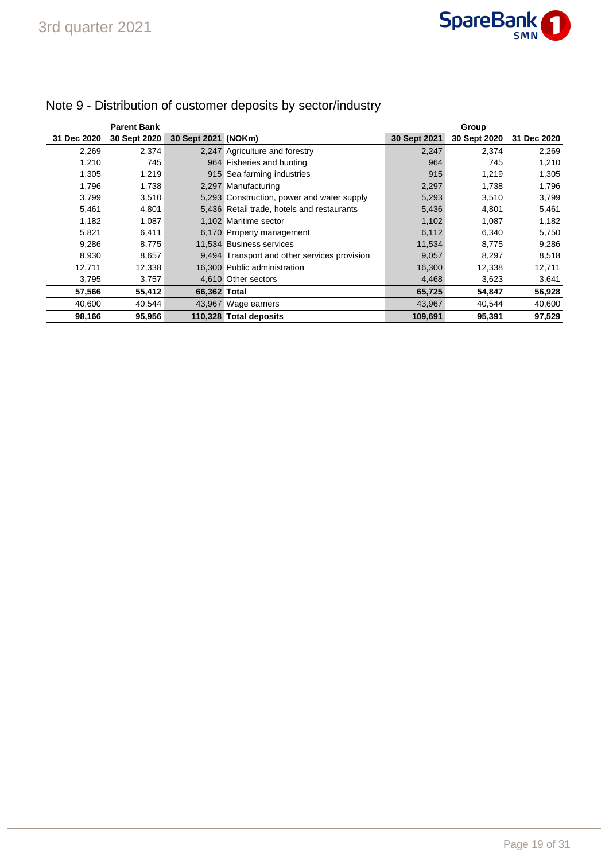

|             | <b>Parent Bank</b> |                     |                                              |              | Group        |             |
|-------------|--------------------|---------------------|----------------------------------------------|--------------|--------------|-------------|
| 31 Dec 2020 | 30 Sept 2020       | 30 Sept 2021 (NOKm) |                                              | 30 Sept 2021 | 30 Sept 2020 | 31 Dec 2020 |
| 2,269       | 2,374              |                     | 2,247 Agriculture and forestry               | 2,247        | 2,374        | 2,269       |
| 1,210       | 745                |                     | 964 Fisheries and hunting                    | 964          | 745          | 1,210       |
| 1,305       | 1,219              |                     | 915 Sea farming industries                   | 915          | 1.219        | 1,305       |
| 1.796       | 1,738              |                     | 2,297 Manufacturing                          | 2,297        | 1,738        | 1,796       |
| 3,799       | 3,510              |                     | 5,293 Construction, power and water supply   | 5,293        | 3,510        | 3,799       |
| 5,461       | 4,801              |                     | 5,436 Retail trade, hotels and restaurants   | 5,436        | 4,801        | 5,461       |
| 1,182       | 1,087              |                     | 1.102 Maritime sector                        | 1,102        | 1,087        | 1,182       |
| 5,821       | 6,411              |                     | 6,170 Property management                    | 6,112        | 6,340        | 5,750       |
| 9,286       | 8,775              |                     | 11,534 Business services                     | 11,534       | 8,775        | 9,286       |
| 8,930       | 8,657              |                     | 9,494 Transport and other services provision | 9,057        | 8,297        | 8,518       |
| 12,711      | 12,338             |                     | 16,300 Public administration                 | 16,300       | 12,338       | 12,711      |
| 3,795       | 3,757              |                     | 4,610 Other sectors                          | 4,468        | 3,623        | 3,641       |
| 57,566      | 55,412             | 66.362 Total        |                                              | 65,725       | 54,847       | 56,928      |
| 40,600      | 40,544             |                     | 43,967 Wage earners                          | 43,967       | 40,544       | 40,600      |
| 98,166      | 95,956             |                     | 110,328 Total deposits                       | 109,691      | 95,391       | 97,529      |

# Note 9 - Distribution of customer deposits by sector/industry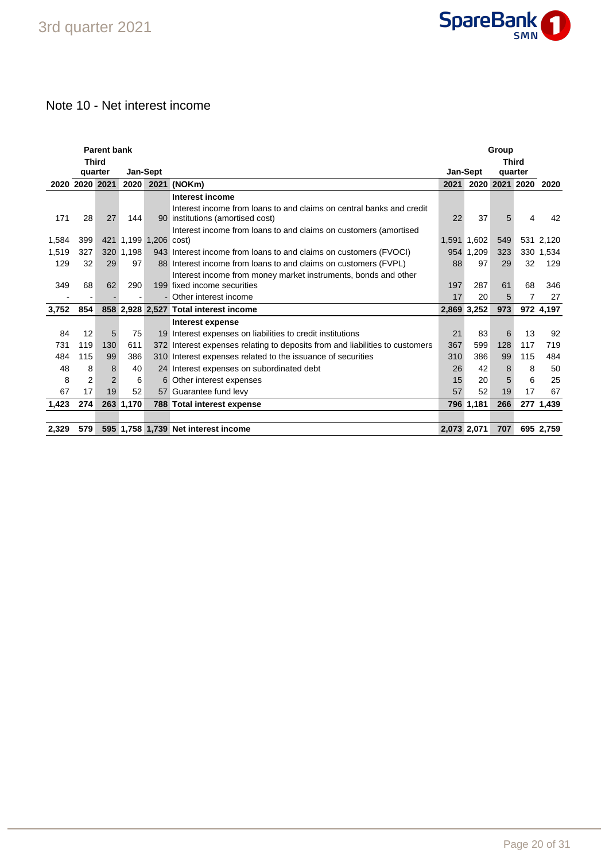

# Note 10 - Net interest income

| <b>Parent bank</b><br>Group<br><b>Third</b><br><b>Third</b> |                          |                |           |                   |                                                                              |             |             |         |           |           |
|-------------------------------------------------------------|--------------------------|----------------|-----------|-------------------|------------------------------------------------------------------------------|-------------|-------------|---------|-----------|-----------|
|                                                             |                          |                |           |                   |                                                                              |             |             |         |           |           |
|                                                             | quarter                  |                |           | Jan-Sept          |                                                                              |             | Jan-Sept    | quarter |           |           |
|                                                             | 2020 2020 2021           |                | 2020      |                   | 2021 (NOKm)                                                                  | 2021        | 2020        |         | 2021 2020 | 2020      |
|                                                             |                          |                |           |                   | Interest income                                                              |             |             |         |           |           |
|                                                             |                          |                |           |                   | Interest income from loans to and claims on central banks and credit         |             |             |         |           |           |
| 171                                                         | 28                       | 27             | 144       |                   | 90 institutions (amortised cost)                                             | 22          | 37          | 5       | 4         | 42        |
|                                                             |                          |                |           |                   | Interest income from loans to and claims on customers (amortised             |             |             |         |           |           |
| 1,584                                                       | 399                      | 421            |           | 1,199 1,206 cost) |                                                                              |             | 1,591 1,602 | 549     |           | 531 2,120 |
| 1,519                                                       | 327                      |                | 320 1,198 |                   | 943 Interest income from loans to and claims on customers (FVOCI)            |             | 954 1.209   | 323     |           | 330 1,534 |
| 129                                                         | 32                       | 29             | 97        |                   | 88 Interest income from loans to and claims on customers (FVPL)              | 88          | 97          | 29      | 32        | 129       |
|                                                             |                          |                |           |                   | Interest income from money market instruments, bonds and other               |             |             |         |           |           |
| 349                                                         | 68                       | 62             | 290       |                   | 199 fixed income securities                                                  | 197         | 287         | 61      | 68        | 346       |
|                                                             | $\overline{\phantom{a}}$ |                |           |                   | - Other interest income                                                      | 17          | 20          | 5       | 7         | 27        |
| 3,752                                                       | 854                      |                |           |                   | 858 2.928 2.527 Total interest income                                        | 2.869 3.252 |             | 973     |           | 972 4,197 |
|                                                             |                          |                |           |                   | Interest expense                                                             |             |             |         |           |           |
| 84                                                          | 12                       | 5              | 75        |                   | 19 Interest expenses on liabilities to credit institutions                   | 21          | 83          | 6       | 13        | 92        |
| 731                                                         | 119                      | 130            | 611       |                   | 372 Interest expenses relating to deposits from and liabilities to customers | 367         | 599         | 128     | 117       | 719       |
| 484                                                         | 115                      | 99             | 386       |                   | 310 Interest expenses related to the issuance of securities                  | 310         | 386         | 99      | 115       | 484       |
| 48                                                          | 8                        | 8              | 40        |                   | 24 Interest expenses on subordinated debt                                    | 26          | 42          | 8       | 8         | 50        |
| 8                                                           | $\overline{2}$           | $\overline{2}$ | 6         |                   | 6 Other interest expenses                                                    | 15          | 20          | 5       | 6         | 25        |
| 67                                                          | 17                       | 19             | 52        |                   | 57 Guarantee fund levy                                                       | 57          | 52          | 19      | 17        | 67        |
| 1,423                                                       | 274                      |                | 263 1,170 |                   | 788 Total interest expense                                                   |             | 796 1,181   | 266     |           | 277 1,439 |
|                                                             |                          |                |           |                   |                                                                              |             |             |         |           |           |
| 2,329                                                       | 579                      |                |           |                   | 595 1,758 1,739 Net interest income                                          | 2,073 2,071 |             | 707     |           | 695 2,759 |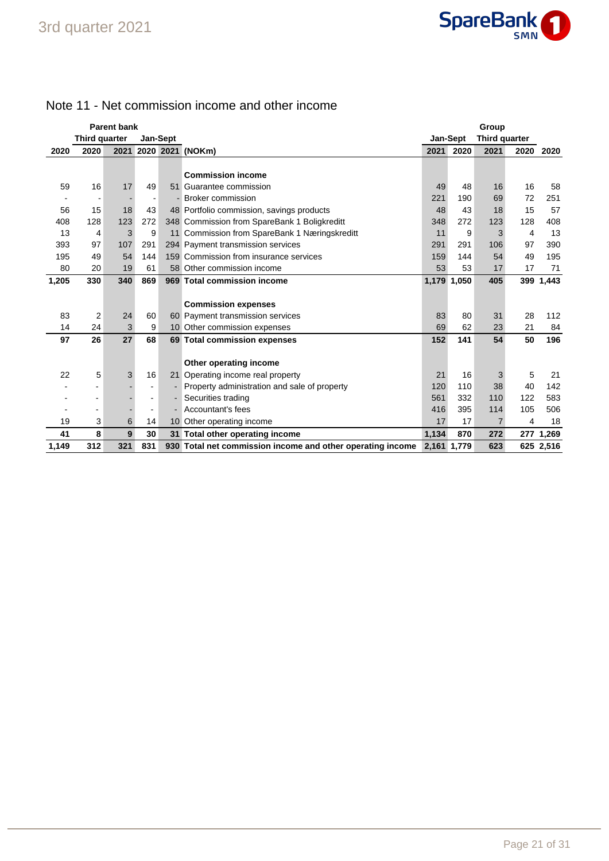

# Note 11 - Net commission income and other income

|       |               | <b>Parent bank</b> |                          | Group<br>Jan-Sept |                                                            |             |             |                      |      |           |
|-------|---------------|--------------------|--------------------------|-------------------|------------------------------------------------------------|-------------|-------------|----------------------|------|-----------|
|       | Third quarter |                    |                          | <b>Jan-Sept</b>   |                                                            |             |             | <b>Third quarter</b> |      |           |
| 2020  | 2020          |                    |                          |                   | 2021 2020 2021 (NOKm)                                      | 2021        | 2020        | 2021                 | 2020 | 2020      |
|       |               |                    |                          |                   |                                                            |             |             |                      |      |           |
|       |               |                    |                          |                   | <b>Commission income</b>                                   |             |             |                      |      |           |
| 59    | 16            | 17                 | 49                       | 51                | Guarantee commission                                       | 49          | 48          | 16                   | 16   | 58        |
|       |               |                    | $\overline{\phantom{a}}$ |                   | <b>Broker commission</b>                                   | 221         | 190         | 69                   | 72   | 251       |
| 56    | 15            | 18                 | 43                       |                   | 48 Portfolio commission, savings products                  | 48          | 43          | 18                   | 15   | 57        |
| 408   | 128           | 123                | 272                      |                   | 348 Commission from SpareBank 1 Boligkreditt               | 348         | 272         | 123                  | 128  | 408       |
| 13    | 4             | 3                  | 9                        | 11                | Commission from SpareBank 1 Næringskreditt                 | 11          | 9           | 3                    | 4    | 13        |
| 393   | 97            | 107                | 291                      |                   | 294 Payment transmission services                          | 291         | 291         | 106                  | 97   | 390       |
| 195   | 49            | 54                 | 144                      |                   | 159 Commission from insurance services                     | 159         | 144         | 54                   | 49   | 195       |
| 80    | 20            | 19                 | 61                       |                   | 58 Other commission income                                 | 53          | 53          | 17                   | 17   | 71        |
| 1,205 | 330           | 340                | 869                      |                   | 969 Total commission income                                |             | 1,179 1,050 | 405                  | 399  | 1,443     |
|       |               |                    |                          |                   |                                                            |             |             |                      |      |           |
|       |               |                    |                          |                   | <b>Commission expenses</b>                                 |             |             |                      |      |           |
| 83    | 2             | 24                 | 60                       |                   | 60 Payment transmission services                           | 83          | 80          | 31                   | 28   | 112       |
| 14    | 24            | 3                  | 9                        |                   | 10 Other commission expenses                               | 69          | 62          | 23                   | 21   | 84        |
| 97    | 26            | 27                 | 68                       |                   | 69 Total commission expenses                               | 152         | 141         | 54                   | 50   | 196       |
|       |               |                    |                          |                   |                                                            |             |             |                      |      |           |
|       |               |                    |                          |                   | Other operating income                                     |             |             |                      |      |           |
| 22    | 5             | 3                  | 16                       |                   | 21 Operating income real property                          | 21          | 16          | 3                    | 5    | 21        |
|       |               |                    | ٠                        |                   | Property administration and sale of property               | 120         | 110         | 38                   | 40   | 142       |
|       |               |                    | ۰                        |                   | Securities trading                                         | 561         | 332         | 110                  | 122  | 583       |
|       |               |                    | ٠                        |                   | Accountant's fees                                          | 416         | 395         | 114                  | 105  | 506       |
| 19    | 3             | 6                  | 14                       |                   | 10 Other operating income                                  | 17          | 17          | 7                    | 4    | 18        |
| 41    | 8             | 9                  | 30                       |                   | 31 Total other operating income                            | 1,134       | 870         | 272                  |      | 277 1,269 |
| 1,149 | 312           | 321                | 831                      |                   | 930 Total net commission income and other operating income | 2,161 1,779 |             | 623                  |      | 625 2,516 |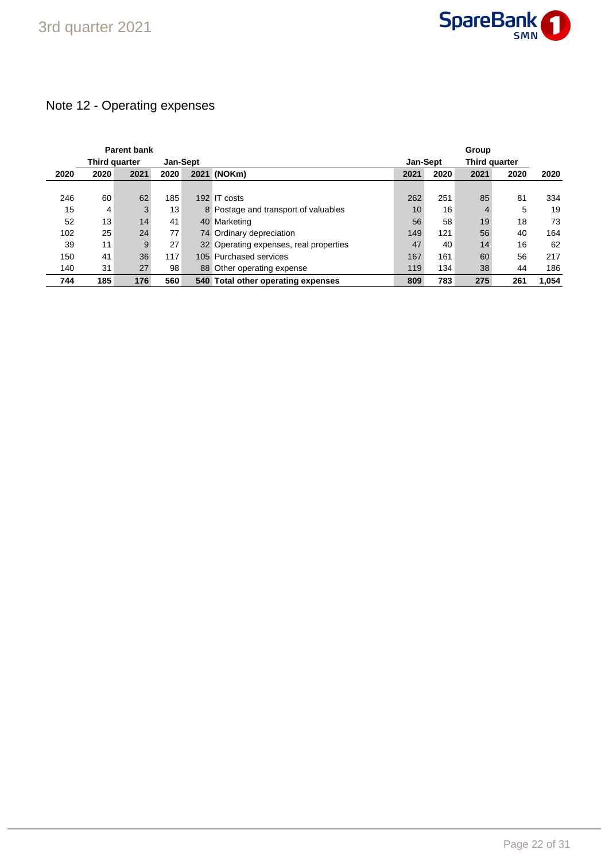

# Note 12 - Operating expenses

|      |               | <b>Parent bank</b> |          |                                        | <b>Group</b>    |      |               |      |       |
|------|---------------|--------------------|----------|----------------------------------------|-----------------|------|---------------|------|-------|
|      | Third quarter |                    | Jan-Sept |                                        | <b>Jan-Sept</b> |      | Third quarter |      |       |
| 2020 | 2020          | 2021               | 2020     | 2021 (NOKm)                            | 2021            | 2020 | 2021          | 2020 | 2020  |
|      |               |                    |          |                                        |                 |      |               |      |       |
| 246  | 60            | 62                 | 185      | 192 IT costs                           | 262             | 251  | 85            | 81   | 334   |
| 15   | 4             | 3                  | 13       | 8 Postage and transport of valuables   | 10              | 16   | 4             | 5    | 19    |
| 52   | 13            | 14                 | 41       | 40 Marketing                           | 56              | 58   | 19            | 18   | 73    |
| 102  | 25            | 24                 | 77       | 74 Ordinary depreciation               | 149             | 121  | 56            | 40   | 164   |
| 39   | 11            | 9                  | 27       | 32 Operating expenses, real properties | 47              | 40   | 14            | 16   | 62    |
| 150  | 41            | 36                 | 117      | 105 Purchased services                 | 167             | 161  | 60            | 56   | 217   |
| 140  | 31            | 27                 | 98       | 88 Other operating expense             | 119             | 134  | 38            | 44   | 186   |
| 744  | 185           | 176                | 560      | 540 Total other operating expenses     | 809             | 783  | 275           | 261  | 1.054 |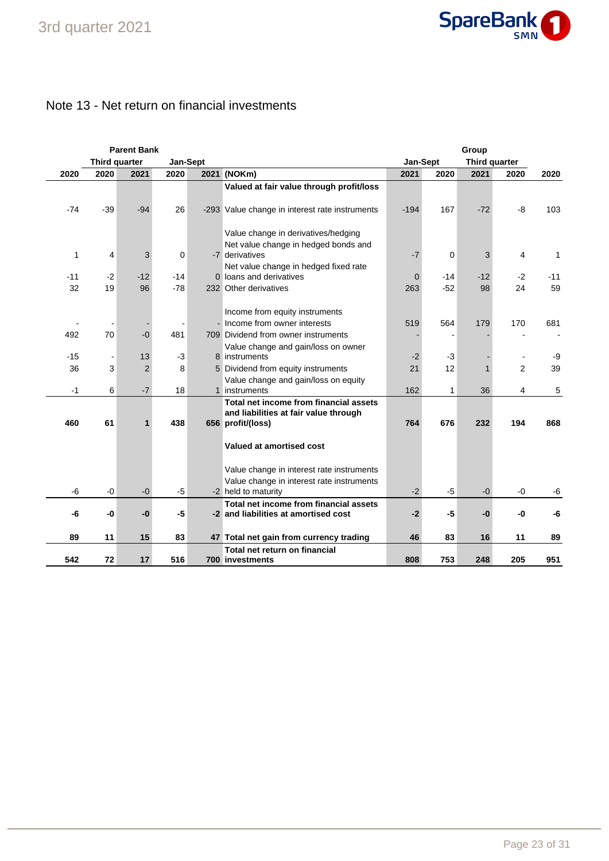

### Note 13 - Net return on financial investments

|       |               | <b>Parent Bank</b> |       |          |                                                | Group    |       |               |      |       |
|-------|---------------|--------------------|-------|----------|------------------------------------------------|----------|-------|---------------|------|-------|
|       | Third quarter |                    |       | Jan-Sept |                                                | Jan-Sept |       | Third quarter |      |       |
| 2020  | 2020          | 2021               | 2020  |          | 2021 (NOKm)                                    | 2021     | 2020  | 2021          | 2020 | 2020  |
|       |               |                    |       |          | Valued at fair value through profit/loss       |          |       |               |      |       |
|       |               |                    |       |          |                                                |          |       |               |      |       |
| -74   | $-39$         | $-94$              | 26    |          | -293 Value change in interest rate instruments | $-194$   | 167   | $-72$         | -8   | 103   |
|       |               |                    |       |          |                                                |          |       |               |      |       |
|       |               |                    |       |          | Value change in derivatives/hedging            |          |       |               |      |       |
|       |               |                    |       |          | Net value change in hedged bonds and           |          |       |               |      |       |
| 1     | 4             | 3                  | 0     |          | -7 derivatives                                 | $-7$     | 0     | 3             | 4    | 1     |
|       |               |                    |       |          | Net value change in hedged fixed rate          |          |       |               |      |       |
| $-11$ | $-2$          | $-12$              | $-14$ |          | 0 loans and derivatives                        | 0        | $-14$ | $-12$         | $-2$ | $-11$ |
| 32    | 19            | 96                 | $-78$ |          | 232 Other derivatives                          | 263      | $-52$ | 98            | 24   | 59    |
|       |               |                    |       |          |                                                |          |       |               |      |       |
|       |               |                    |       |          | Income from equity instruments                 |          |       |               |      |       |
|       |               |                    |       |          | - Income from owner interests                  | 519      | 564   | 179           | 170  | 681   |
| 492   | 70            | $-0$               | 481   |          | 709 Dividend from owner instruments            |          |       |               |      |       |
|       |               |                    |       |          | Value change and gain/loss on owner            |          |       |               |      |       |
| $-15$ |               | 13                 | $-3$  |          | 8 instruments                                  | $-2$     | $-3$  |               |      | -9    |
| 36    | 3             | $\overline{2}$     | 8     |          | 5 Dividend from equity instruments             | 21       | 12    |               | 2    | 39    |
|       |               |                    |       |          | Value change and gain/loss on equity           |          |       |               |      |       |
| $-1$  | 6             | $-7$               | 18    |          | 1 instruments                                  | 162      | 1     | 36            | 4    | 5     |
|       |               |                    |       |          | Total net income from financial assets         |          |       |               |      |       |
|       |               |                    |       |          | and liabilities at fair value through          |          |       |               |      |       |
| 460   | 61            | $\mathbf{1}$       | 438   |          | 656 profit/(loss)                              | 764      | 676   | 232           | 194  | 868   |
|       |               |                    |       |          |                                                |          |       |               |      |       |
|       |               |                    |       |          | Valued at amortised cost                       |          |       |               |      |       |
|       |               |                    |       |          |                                                |          |       |               |      |       |
|       |               |                    |       |          | Value change in interest rate instruments      |          |       |               |      |       |
|       |               |                    |       |          | Value change in interest rate instruments      |          |       |               |      |       |
| -6    | $-0$          | $-0$               | $-5$  |          | -2 held to maturity                            | $-2$     | $-5$  | $-0$          | $-0$ | -6    |
|       |               |                    |       |          | Total net income from financial assets         |          |       |               |      |       |
| -6    | -0            | -0                 | -5    |          | -2 and liabilities at amortised cost           | $-2$     | -5    | -0            | -0   | -6    |
|       |               |                    |       |          |                                                |          |       |               |      |       |
| 89    | 11            | 15                 | 83    |          | 47 Total net gain from currency trading        | 46       | 83    | 16            | 11   | 89    |
|       |               |                    |       |          | Total net return on financial                  |          |       |               |      |       |
| 542   | 72            | 17                 | 516   |          | 700 investments                                | 808      | 753   | 248           | 205  | 951   |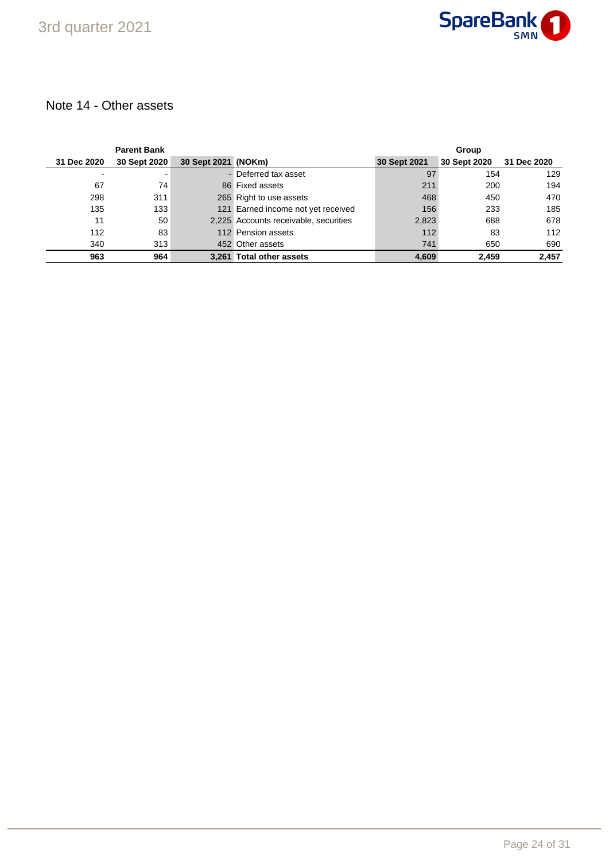

### Note 14 - Other assets

|             | <b>Parent Bank</b> |                     |                                       | Group        |              |             |  |
|-------------|--------------------|---------------------|---------------------------------------|--------------|--------------|-------------|--|
| 31 Dec 2020 | 30 Sept 2020       | 30 Sept 2021 (NOKm) |                                       | 30 Sept 2021 | 30 Sept 2020 | 31 Dec 2020 |  |
|             |                    |                     | - Deferred tax asset                  | 97           | 154          | 129         |  |
| 67          | 74                 |                     | 86 Fixed assets                       | 211          | 200          | 194         |  |
| 298         | 311                |                     | 265 Right to use assets               | 468          | 450          | 470         |  |
| 135         | 133                |                     | 121 Earned income not yet received    | 156          | 233          | 185         |  |
| 11          | 50                 |                     | 2,225 Accounts receivable, securities | 2,823        | 688          | 678         |  |
| 112         | 83                 |                     | 112 Pension assets                    | 112          | 83           | 112         |  |
| 340         | 313                |                     | 452 Other assets                      | 741          | 650          | 690         |  |
| 963         | 964                |                     | 3.261 Total other assets              | 4,609        | 2.459        | 2.457       |  |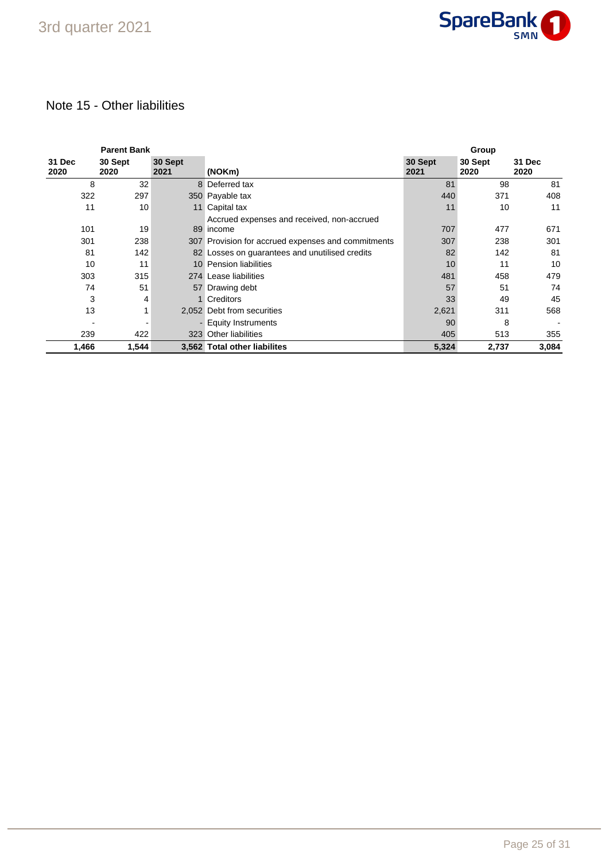

## Note 15 - Other liabilities

|                | <b>Parent Bank</b> |                 |                                                         | Group           |                 |                |
|----------------|--------------------|-----------------|---------------------------------------------------------|-----------------|-----------------|----------------|
| 31 Dec<br>2020 | 30 Sept<br>2020    | 30 Sept<br>2021 | (NOKm)                                                  | 30 Sept<br>2021 | 30 Sept<br>2020 | 31 Dec<br>2020 |
| 8              | 32                 |                 | 8 Deferred tax                                          | 81              | 98              | 81             |
| 322            | 297                |                 | 350 Payable tax                                         | 440             | 371             | 408            |
| 11             | 10                 | 11              | Capital tax                                             | 11              | 10              | 11             |
| 101            | 19                 |                 | Accrued expenses and received, non-accrued<br>89 income | 707             | 477             | 671            |
| 301            | 238                |                 | 307 Provision for accrued expenses and commitments      | 307             | 238             | 301            |
| 81             | 142                |                 | 82 Losses on guarantees and unutilised credits          | 82              | 142             | 81             |
| 10             | 11                 |                 | 10 Pension liabilities                                  | 10              | 11              | 10             |
| 303            | 315                |                 | 274 Lease liabilities                                   | 481             | 458             | 479            |
| 74             | 51                 |                 | 57 Drawing debt                                         | 57              | 51              | 74             |
| 3              | 4                  |                 | <b>Creditors</b>                                        | 33              | 49              | 45             |
| 13             |                    |                 | 2,052 Debt from securities                              | 2,621           | 311             | 568            |
|                |                    |                 | - Equity Instruments                                    | 90              | 8               |                |
| 239            | 422                |                 | 323 Other liabilities                                   | 405             | 513             | 355            |
| 1,466          | 1,544              |                 | 3,562 Total other liabilites                            | 5,324           | 2,737           | 3,084          |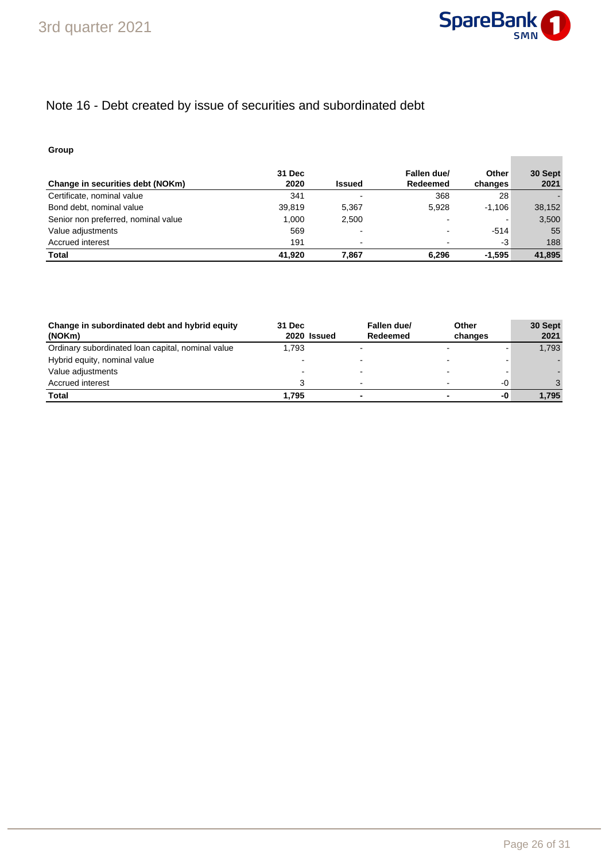

**Contract Contract** 

# Note 16 - Debt created by issue of securities and subordinated debt

### **Group**

| Change in securities debt (NOKm)    | 31 Dec<br>2020 | <b>Issued</b> | Fallen due/<br>Redeemed | <b>Other</b><br>changes  | 30 Sept<br>2021 |
|-------------------------------------|----------------|---------------|-------------------------|--------------------------|-----------------|
| Certificate, nominal value          | 341            | -             | 368                     | 28                       |                 |
| Bond debt, nominal value            | 39.819         | 5.367         | 5.928                   | $-1.106$                 | 38,152          |
| Senior non preferred, nominal value | 1.000          | 2,500         |                         | $\overline{\phantom{0}}$ | 3,500           |
| Value adjustments                   | 569            | ٠             |                         | $-514$                   | 55              |
| Accrued interest                    | 191            | -             |                         | -3                       | 188             |
| <b>Total</b>                        | 41.920         | 7.867         | 6.296                   | $-1.595$                 | 41.895          |

| Change in subordinated debt and hybrid equity<br>(NOKm) | 31 Dec<br>2020 Issued | Fallen due/<br>Redeemed  | Other<br>changes |    | 30 Sept<br>2021 |
|---------------------------------------------------------|-----------------------|--------------------------|------------------|----|-----------------|
| Ordinary subordinated loan capital, nominal value       | 1.793                 | $\overline{\phantom{a}}$ |                  |    | 1,793           |
| Hybrid equity, nominal value                            |                       | -                        |                  |    |                 |
| Value adjustments                                       |                       | $\overline{\phantom{0}}$ |                  |    |                 |
| Accrued interest                                        |                       | $\,$                     |                  | -0 |                 |
| Total                                                   | 1.795                 |                          |                  | -0 | 1.795           |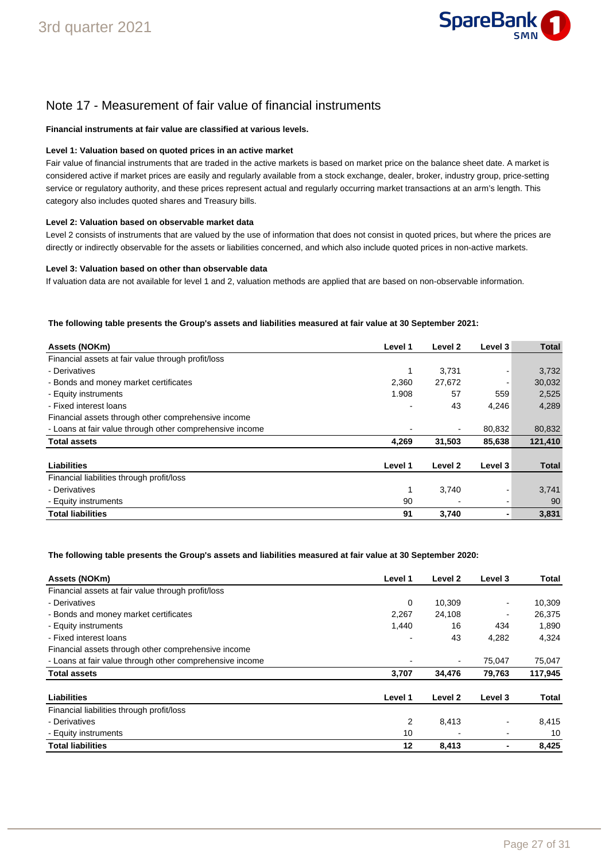

### Note 17 - Measurement of fair value of financial instruments

#### **Financial instruments at fair value are classified at various levels.**

### **Level 1: Valuation based on quoted prices in an active market**

Fair value of financial instruments that are traded in the active markets is based on market price on the balance sheet date. A market is considered active if market prices are easily and regularly available from a stock exchange, dealer, broker, industry group, price-setting service or regulatory authority, and these prices represent actual and regularly occurring market transactions at an arm's length. This category also includes quoted shares and Treasury bills.

#### **Level 2: Valuation based on observable market data**

Level 2 consists of instruments that are valued by the use of information that does not consist in quoted prices, but where the prices are directly or indirectly observable for the assets or liabilities concerned, and which also include quoted prices in non-active markets.

#### **Level 3: Valuation based on other than observable data**

If valuation data are not available for level 1 and 2, valuation methods are applied that are based on non-observable information.

#### **The following table presents the Group's assets and liabilities measured at fair value at 30 September 2021:**

| Assets (NOKm)                                            | Level 1 | Level 2 | Level 3 | <b>Total</b> |
|----------------------------------------------------------|---------|---------|---------|--------------|
| Financial assets at fair value through profit/loss       |         |         |         |              |
| - Derivatives                                            | 1       | 3,731   |         | 3,732        |
| - Bonds and money market certificates                    | 2,360   | 27,672  |         | 30,032       |
| - Equity instruments                                     | 1.908   | 57      | 559     | 2,525        |
| - Fixed interest loans                                   |         | 43      | 4,246   | 4,289        |
| Financial assets through other comprehensive income      |         |         |         |              |
| - Loans at fair value through other comprehensive income |         |         | 80,832  | 80,832       |
| <b>Total assets</b>                                      | 4,269   | 31,503  | 85,638  | 121,410      |
| Liabilities                                              | Level 1 | Level 2 | Level 3 | <b>Total</b> |
| Financial liabilities through profit/loss                |         |         |         |              |
| - Derivatives                                            | 1       | 3,740   |         | 3,741        |
| - Equity instruments                                     | 90      |         |         | 90           |
| <b>Total liabilities</b>                                 | 91      | 3,740   |         | 3,831        |

#### **The following table presents the Group's assets and liabilities measured at fair value at 30 September 2020:**

| Assets (NOKm)                                            | Level 1 | Level 2        | Level 3        | Total   |
|----------------------------------------------------------|---------|----------------|----------------|---------|
| Financial assets at fair value through profit/loss       |         |                |                |         |
| - Derivatives                                            | 0       | 10,309         |                | 10,309  |
| - Bonds and money market certificates                    | 2.267   | 24,108         | $\blacksquare$ | 26,375  |
| - Equity instruments                                     | 1,440   | 16             | 434            | 1,890   |
| - Fixed interest loans                                   |         | 43             | 4,282          | 4.324   |
| Financial assets through other comprehensive income      |         |                |                |         |
| - Loans at fair value through other comprehensive income |         | $\blacksquare$ | 75,047         | 75,047  |
| <b>Total assets</b>                                      | 3,707   | 34,476         | 79,763         | 117,945 |
| Liabilities                                              | Level 1 | Level 2        | Level 3        | Total   |
| Financial liabilities through profit/loss                |         |                |                |         |
| - Derivatives                                            | 2       | 8,413          |                | 8,415   |
| - Equity instruments                                     | 10      |                |                | 10      |
| <b>Total liabilities</b>                                 | 12      | 8.413          |                | 8.425   |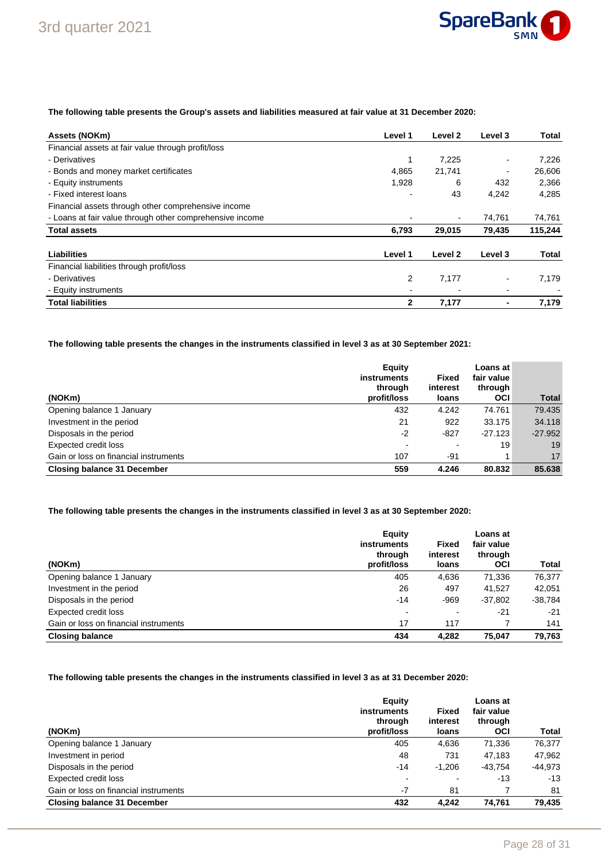

### **The following table presents the Group's assets and liabilities measured at fair value at 31 December 2020:**

| Assets (NOKm)                                            | Level 1 | Level 2 | Level 3 | Total   |
|----------------------------------------------------------|---------|---------|---------|---------|
| Financial assets at fair value through profit/loss       |         |         |         |         |
| - Derivatives                                            | 1       | 7,225   |         | 7,226   |
| - Bonds and money market certificates                    | 4,865   | 21,741  | -       | 26,606  |
| - Equity instruments                                     | 1,928   | 6       | 432     | 2,366   |
| - Fixed interest loans                                   |         | 43      | 4,242   | 4.285   |
| Financial assets through other comprehensive income      |         |         |         |         |
| - Loans at fair value through other comprehensive income |         |         | 74,761  | 74,761  |
| <b>Total assets</b>                                      | 6,793   | 29,015  | 79,435  | 115,244 |
| Liabilities                                              | Level 1 | Level 2 | Level 3 | Total   |
| Financial liabilities through profit/loss                |         |         |         |         |
| - Derivatives                                            | 2       | 7,177   |         | 7,179   |
| - Equity instruments                                     |         |         |         |         |
| <b>Total liabilities</b>                                 | 2       | 7,177   |         | 7,179   |

**The following table presents the changes in the instruments classified in level 3 as at 30 September 2021:**

|                                       | Equity<br>instruments<br>through | <b>Fixed</b><br>interest | Loans at<br>fair value<br>through |              |
|---------------------------------------|----------------------------------|--------------------------|-----------------------------------|--------------|
| (NOKm)                                | profit/loss                      | loans                    | <b>OCI</b>                        | <b>Total</b> |
| Opening balance 1 January             | 432                              | 4.242                    | 74.761                            | 79.435       |
| Investment in the period              | 21                               | 922                      | 33.175                            | 34.118       |
| Disposals in the period               | $-2$                             | $-827$                   | $-27.123$                         | $-27.952$    |
| Expected credit loss                  |                                  | -                        | 19                                | 19           |
| Gain or loss on financial instruments | 107                              | -91                      |                                   | 17           |
| <b>Closing balance 31 December</b>    | 559                              | 4.246                    | 80.832                            | 85.638       |

### **The following table presents the changes in the instruments classified in level 3 as at 30 September 2020:**

| (NOKm)                                | Equity<br><b>instruments</b><br>through<br>profit/loss | <b>Fixed</b><br>interest<br>loans | Loans at<br>fair value<br>through<br><b>OCI</b> | Total   |
|---------------------------------------|--------------------------------------------------------|-----------------------------------|-------------------------------------------------|---------|
| Opening balance 1 January             | 405                                                    | 4,636                             | 71,336                                          | 76.377  |
| Investment in the period              | 26                                                     | 497                               | 41,527                                          | 42.051  |
| Disposals in the period               | $-14$                                                  | -969                              | $-37,802$                                       | -38,784 |
| Expected credit loss                  | $\blacksquare$                                         |                                   | $-21$                                           | $-21$   |
| Gain or loss on financial instruments | 17                                                     | 117                               |                                                 | 141     |
| <b>Closing balance</b>                | 434                                                    | 4.282                             | 75.047                                          | 79.763  |

### **The following table presents the changes in the instruments classified in level 3 as at 31 December 2020:**

| (NOKm)                                | Equity<br>instruments<br>through<br>profit/loss | Fixed<br>interest<br>loans | Loans at<br>fair value<br>through<br><b>OCI</b> | Total     |
|---------------------------------------|-------------------------------------------------|----------------------------|-------------------------------------------------|-----------|
| Opening balance 1 January             | 405                                             | 4,636                      | 71,336                                          | 76,377    |
| Investment in period                  | 48                                              | 731                        | 47.183                                          | 47,962    |
| Disposals in the period               | $-14$                                           | $-1.206$                   | $-43.754$                                       | $-44,973$ |
| Expected credit loss                  | $\blacksquare$                                  |                            | $-13$                                           | $-13$     |
| Gain or loss on financial instruments | $-7$                                            | 81                         |                                                 | 81        |
| <b>Closing balance 31 December</b>    | 432                                             | 4.242                      | 74.761                                          | 79,435    |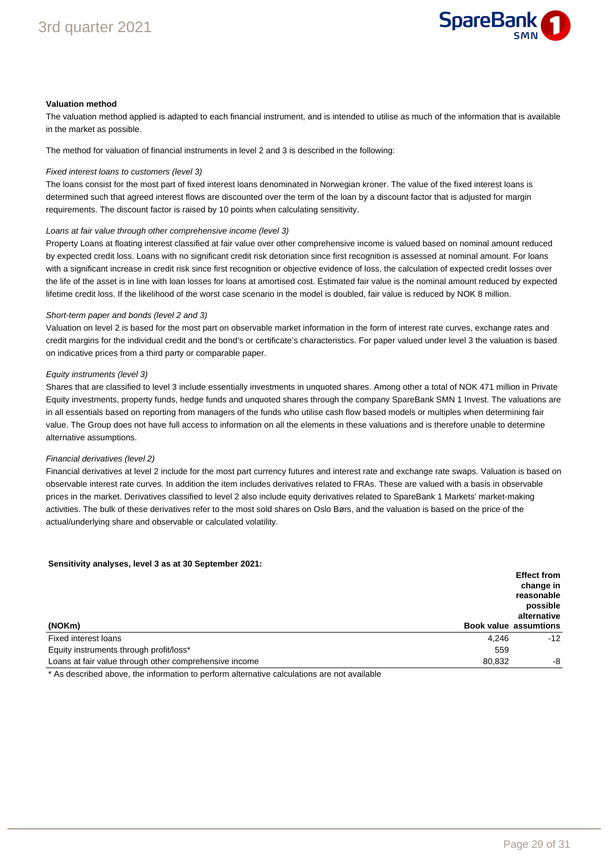

#### **Valuation method**

The valuation method applied is adapted to each financial instrument, and is intended to utilise as much of the information that is available in the market as possible.

The method for valuation of financial instruments in level 2 and 3 is described in the following:

#### Fixed interest loans to customers (level 3)

The loans consist for the most part of fixed interest loans denominated in Norwegian kroner. The value of the fixed interest loans is determined such that agreed interest flows are discounted over the term of the loan by a discount factor that is adjusted for margin requirements. The discount factor is raised by 10 points when calculating sensitivity.

#### Loans at fair value through other comprehensive income (level 3)

Property Loans at floating interest classified at fair value over other comprehensive income is valued based on nominal amount reduced by expected credit loss. Loans with no significant credit risk detoriation since first recognition is assessed at nominal amount. For loans with a significant increase in credit risk since first recognition or objective evidence of loss, the calculation of expected credit losses over the life of the asset is in line with loan losses for loans at amortised cost. Estimated fair value is the nominal amount reduced by expected lifetime credit loss. If the likelihood of the worst case scenario in the model is doubled, fair value is reduced by NOK 8 million.

#### Short-term paper and bonds (level 2 and 3)

Valuation on level 2 is based for the most part on observable market information in the form of interest rate curves, exchange rates and credit margins for the individual credit and the bond's or certificate's characteristics. For paper valued under level 3 the valuation is based on indicative prices from a third party or comparable paper.

#### Equity instruments (level 3)

Shares that are classified to level 3 include essentially investments in unquoted shares. Among other a total of NOK 471 million in Private Equity investments, property funds, hedge funds and unquoted shares through the company SpareBank SMN 1 Invest. The valuations are in all essentials based on reporting from managers of the funds who utilise cash flow based models or multiples when determining fair value. The Group does not have full access to information on all the elements in these valuations and is therefore unable to determine alternative assumptions.

#### Financial derivatives (level 2)

Financial derivatives at level 2 include for the most part currency futures and interest rate and exchange rate swaps. Valuation is based on observable interest rate curves. In addition the item includes derivatives related to FRAs. These are valued with a basis in observable prices in the market. Derivatives classified to level 2 also include equity derivatives related to SpareBank 1 Markets' market-making activities. The bulk of these derivatives refer to the most sold shares on Oslo Børs, and the valuation is based on the price of the actual/underlying share and observable or calculated volatility.

#### **Sensitivity analyses, level 3 as at 30 September 2021:**

|                                                                  | <b>Effect from</b><br>change in<br>reasonable<br>possible<br>alternative |
|------------------------------------------------------------------|--------------------------------------------------------------------------|
| (NOKm)                                                           | <b>Book value assumtions</b>                                             |
| 4.246<br>Fixed interest loans                                    | $-12$                                                                    |
| Equity instruments through profit/loss*<br>559                   |                                                                          |
| Loans at fair value through other comprehensive income<br>80.832 | -8                                                                       |

\* As described above, the information to perform alternative calculations are not available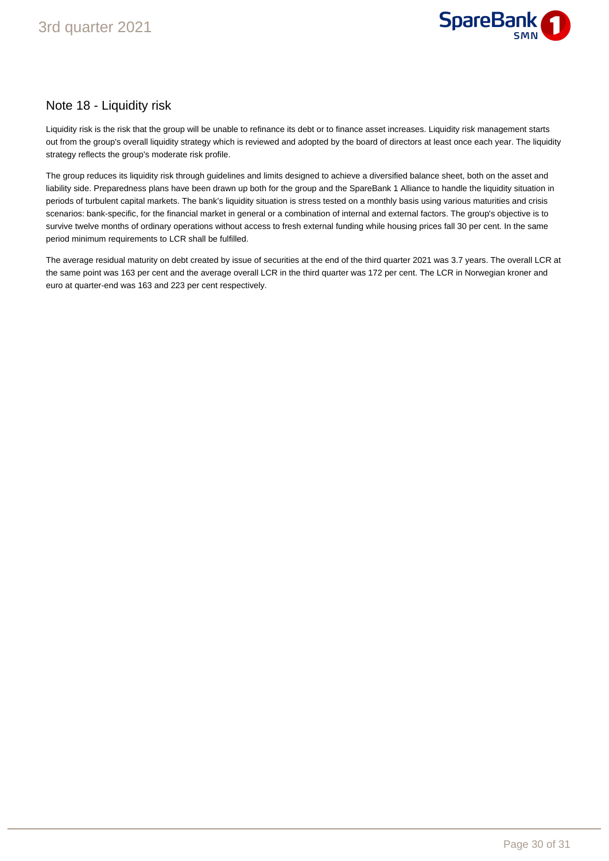

### Note 18 - Liquidity risk

Liquidity risk is the risk that the group will be unable to refinance its debt or to finance asset increases. Liquidity risk management starts out from the group's overall liquidity strategy which is reviewed and adopted by the board of directors at least once each year. The liquidity strategy reflects the group's moderate risk profile.

The group reduces its liquidity risk through guidelines and limits designed to achieve a diversified balance sheet, both on the asset and liability side. Preparedness plans have been drawn up both for the group and the SpareBank 1 Alliance to handle the liquidity situation in periods of turbulent capital markets. The bank's liquidity situation is stress tested on a monthly basis using various maturities and crisis scenarios: bank-specific, for the financial market in general or a combination of internal and external factors. The group's objective is to survive twelve months of ordinary operations without access to fresh external funding while housing prices fall 30 per cent. In the same period minimum requirements to LCR shall be fulfilled.

The average residual maturity on debt created by issue of securities at the end of the third quarter 2021 was 3.7 years. The overall LCR at the same point was 163 per cent and the average overall LCR in the third quarter was 172 per cent. The LCR in Norwegian kroner and euro at quarter-end was 163 and 223 per cent respectively.